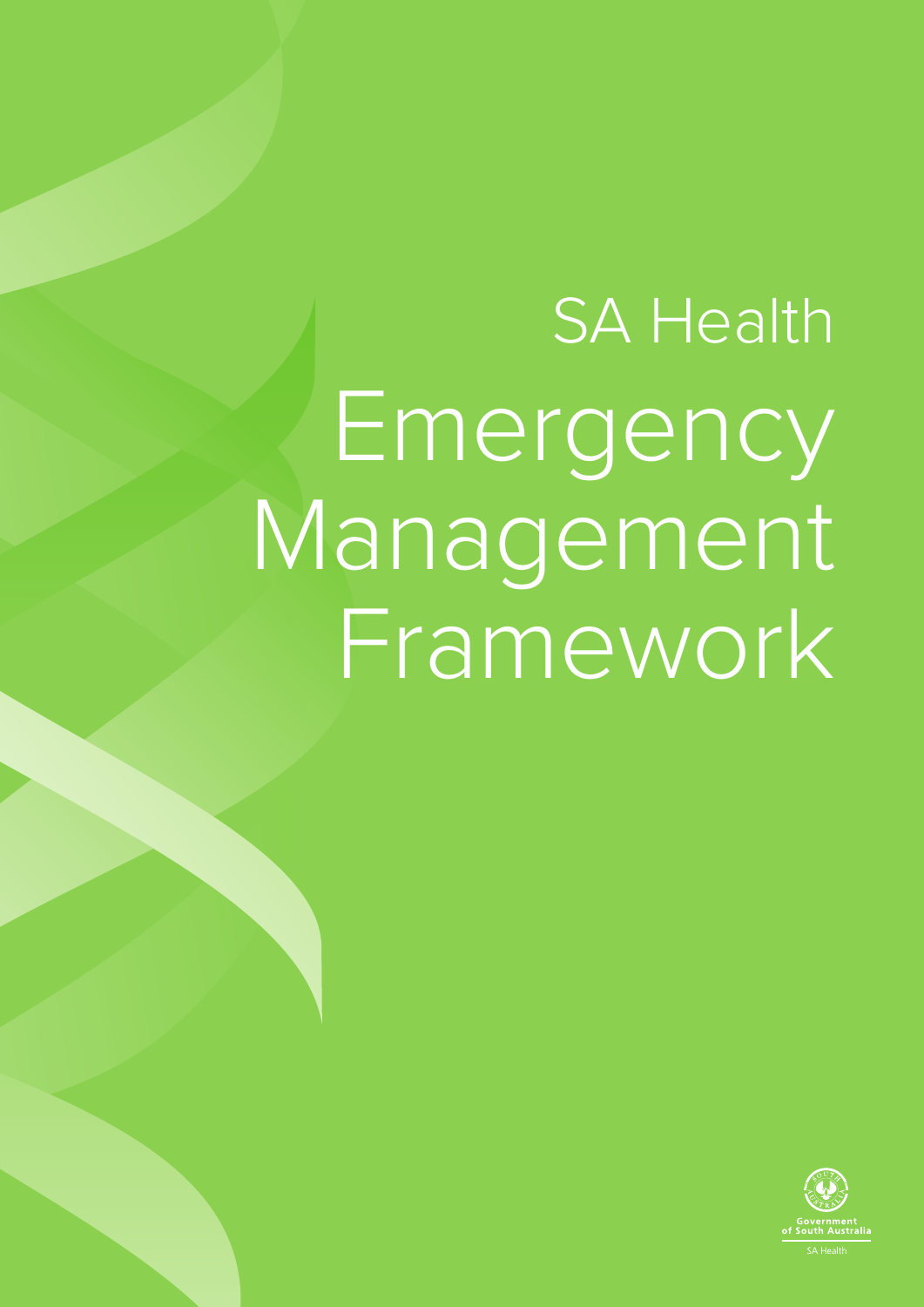# SA Health Emergency Management **Framework**

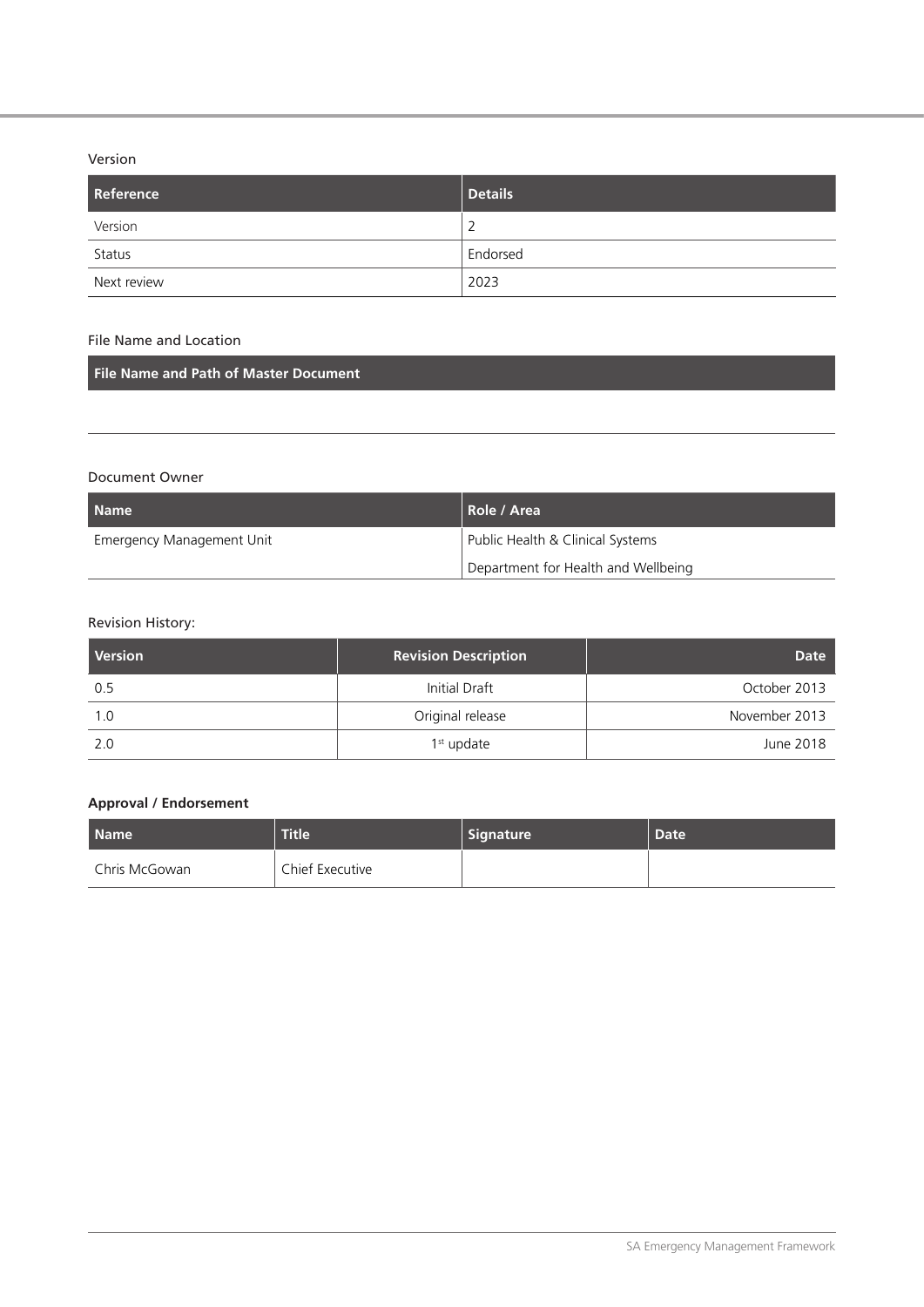## Version

| Reference   | <b>Details</b> |
|-------------|----------------|
| Version     | ∠              |
| Status      | Endorsed       |
| Next review | 2023           |

#### File Name and Location

#### Document Owner

| <b>Name</b>               | Role / Area                         |
|---------------------------|-------------------------------------|
| Emergency Management Unit | Public Health & Clinical Systems    |
|                           | Department for Health and Wellbeing |

# Revision History:

| Version | <b>Revision Description</b> | Date          |
|---------|-----------------------------|---------------|
| 0.5     | Initial Draft               | October 2013  |
| 1.0     | Original release            | November 2013 |
| 2.0     | $1st$ update                | June 2018     |

# **Approval / Endorsement**

| <b>Name</b>   | Title <sup>1</sup> | Signature | Date <sup>1</sup> |
|---------------|--------------------|-----------|-------------------|
| Chris McGowan | Chief Executive    |           |                   |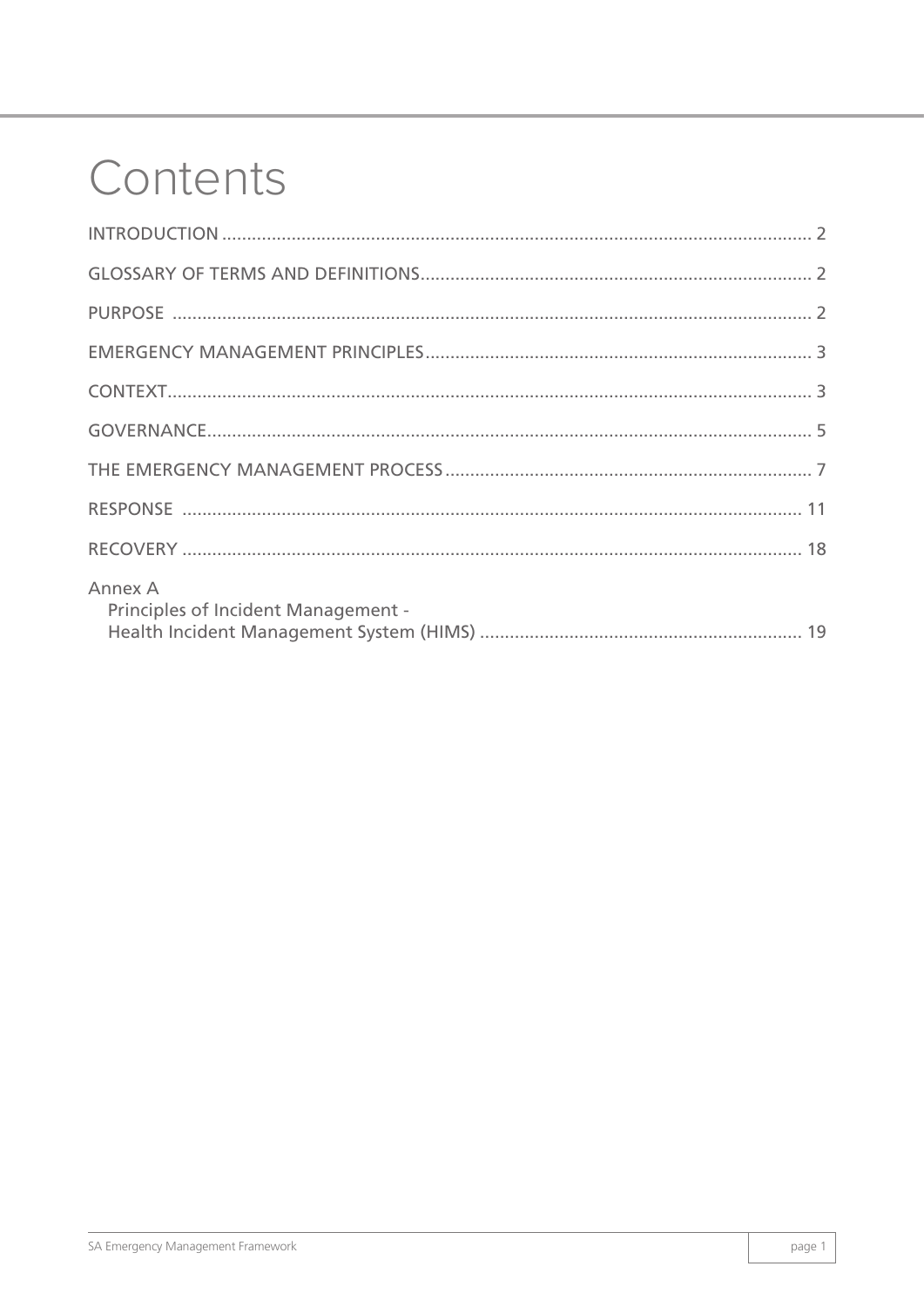# Contents

| Annex A<br>Principles of Incident Management - |
|------------------------------------------------|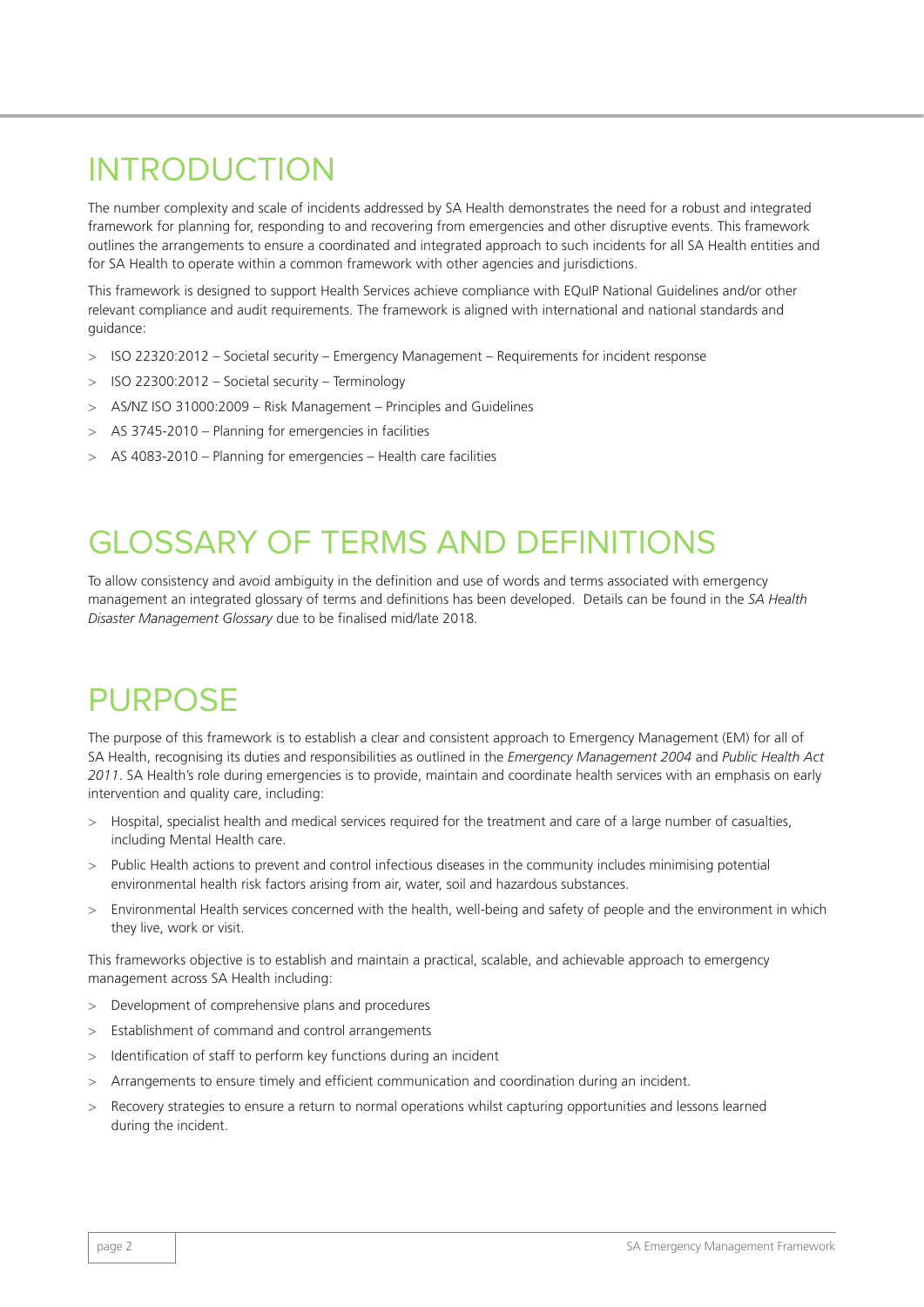# <span id="page-3-0"></span>INTRODUCTION

The number complexity and scale of incidents addressed by SA Health demonstrates the need for a robust and integrated framework for planning for, responding to and recovering from emergencies and other disruptive events. This framework outlines the arrangements to ensure a coordinated and integrated approach to such incidents for all SA Health entities and for SA Health to operate within a common framework with other agencies and jurisdictions.

This framework is designed to support Health Services achieve compliance with EQuIP National Guidelines and/or other relevant compliance and audit requirements. The framework is aligned with international and national standards and guidance:

- > ISO 22320:2012 Societal security Emergency Management Requirements for incident response
- > ISO 22300:2012 Societal security Terminology
- > AS/NZ ISO 31000:2009 Risk Management Principles and Guidelines
- AS 3745-2010 Planning for emergencies in facilities
- > AS 4083-2010 Planning for emergencies Health care facilities

# GLOSSARY OF TERMS AND DEFINITIONS

To allow consistency and avoid ambiguity in the definition and use of words and terms associated with emergency management an integrated glossary of terms and definitions has been developed. Details can be found in the *SA Health Disaster Management Glossary* due to be finalised mid/late 2018.

# PURPOSE

The purpose of this framework is to establish a clear and consistent approach to Emergency Management (EM) for all of SA Health, recognising its duties and responsibilities as outlined in the *Emergency Management 2004* and *Public Health Act 2011*. SA Health's role during emergencies is to provide, maintain and coordinate health services with an emphasis on early intervention and quality care, including:

- > Hospital, specialist health and medical services required for the treatment and care of a large number of casualties, including Mental Health care.
- Public Health actions to prevent and control infectious diseases in the community includes minimising potential environmental health risk factors arising from air, water, soil and hazardous substances.
- > Environmental Health services concerned with the health, well-being and safety of people and the environment in which they live, work or visit.

This frameworks objective is to establish and maintain a practical, scalable, and achievable approach to emergency management across SA Health including:

- > Development of comprehensive plans and procedures
- > Establishment of command and control arrangements
- > Identification of staff to perform key functions during an incident
- > Arrangements to ensure timely and efficient communication and coordination during an incident.
- > Recovery strategies to ensure a return to normal operations whilst capturing opportunities and lessons learned during the incident.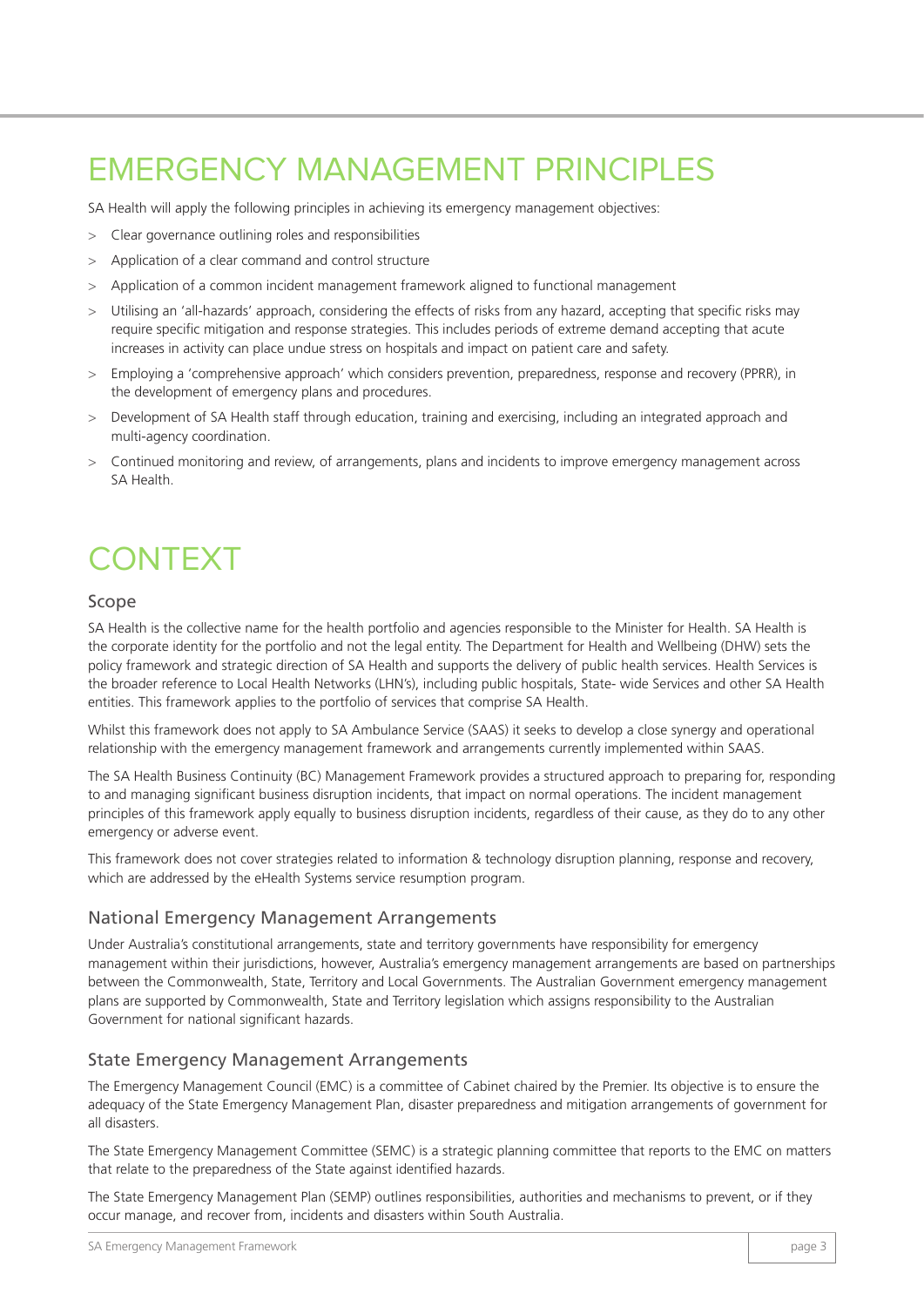# <span id="page-4-0"></span>EMERGENCY MANAGEMENT PRINCIPLES

SA Health will apply the following principles in achieving its emergency management objectives:

- > Clear governance outlining roles and responsibilities
- > Application of a clear command and control structure
- > Application of a common incident management framework aligned to functional management
- > Utilising an 'all-hazards' approach, considering the effects of risks from any hazard, accepting that specific risks may require specific mitigation and response strategies. This includes periods of extreme demand accepting that acute increases in activity can place undue stress on hospitals and impact on patient care and safety.
- > Employing a 'comprehensive approach' which considers prevention, preparedness, response and recovery (PPRR), in the development of emergency plans and procedures.
- > Development of SA Health staff through education, training and exercising, including an integrated approach and multi-agency coordination.
- > Continued monitoring and review, of arrangements, plans and incidents to improve emergency management across SA Health.

# **CONTEXT**

#### Scope

SA Health is the collective name for the health portfolio and agencies responsible to the Minister for Health. SA Health is the corporate identity for the portfolio and not the legal entity. The Department for Health and Wellbeing (DHW) sets the policy framework and strategic direction of SA Health and supports the delivery of public health services. Health Services is the broader reference to Local Health Networks (LHN's), including public hospitals, State- wide Services and other SA Health entities. This framework applies to the portfolio of services that comprise SA Health.

Whilst this framework does not apply to SA Ambulance Service (SAAS) it seeks to develop a close synergy and operational relationship with the emergency management framework and arrangements currently implemented within SAAS.

The SA Health Business Continuity (BC) Management Framework provides a structured approach to preparing for, responding to and managing significant business disruption incidents, that impact on normal operations. The incident management principles of this framework apply equally to business disruption incidents, regardless of their cause, as they do to any other emergency or adverse event.

This framework does not cover strategies related to information & technology disruption planning, response and recovery, which are addressed by the eHealth Systems service resumption program.

# National Emergency Management Arrangements

Under Australia's constitutional arrangements, state and territory governments have responsibility for emergency management within their jurisdictions, however, Australia's emergency management arrangements are based on partnerships between the Commonwealth, State, Territory and Local Governments. The Australian Government emergency management plans are supported by Commonwealth, State and Territory legislation which assigns responsibility to the Australian Government for national significant hazards.

#### State Emergency Management Arrangements

The Emergency Management Council (EMC) is a committee of Cabinet chaired by the Premier. Its objective is to ensure the adequacy of the State Emergency Management Plan, disaster preparedness and mitigation arrangements of government for all disasters.

The State Emergency Management Committee (SEMC) is a strategic planning committee that reports to the EMC on matters that relate to the preparedness of the State against identified hazards.

The State Emergency Management Plan (SEMP) outlines responsibilities, authorities and mechanisms to prevent, or if they occur manage, and recover from, incidents and disasters within South Australia.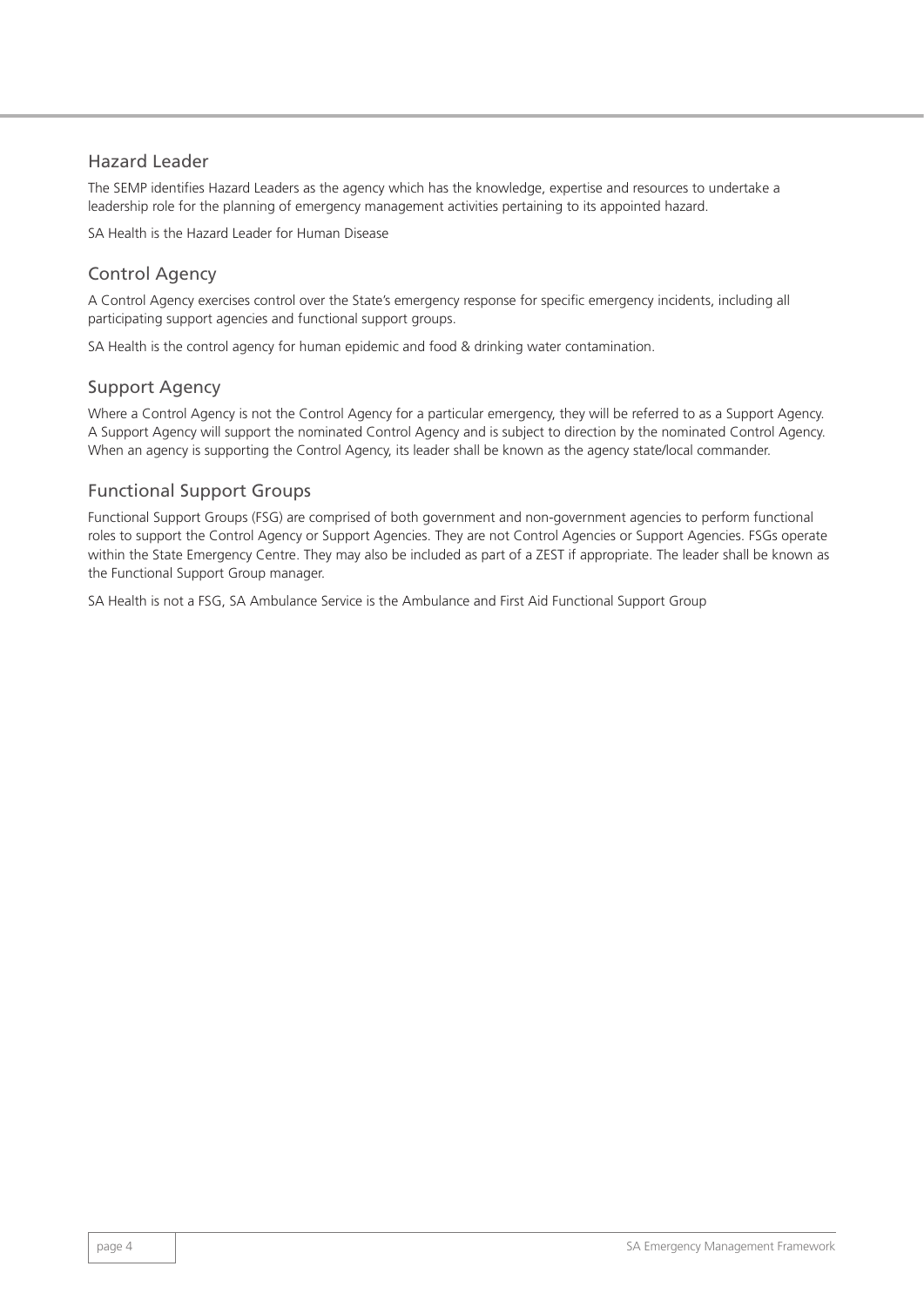# Hazard Leader

The SEMP identifies Hazard Leaders as the agency which has the knowledge, expertise and resources to undertake a leadership role for the planning of emergency management activities pertaining to its appointed hazard.

SA Health is the Hazard Leader for Human Disease

# Control Agency

A Control Agency exercises control over the State's emergency response for specific emergency incidents, including all participating support agencies and functional support groups.

SA Health is the control agency for human epidemic and food & drinking water contamination.

# Support Agency

Where a Control Agency is not the Control Agency for a particular emergency, they will be referred to as a Support Agency. A Support Agency will support the nominated Control Agency and is subject to direction by the nominated Control Agency. When an agency is supporting the Control Agency, its leader shall be known as the agency state/local commander.

# Functional Support Groups

Functional Support Groups (FSG) are comprised of both government and non-government agencies to perform functional roles to support the Control Agency or Support Agencies. They are not Control Agencies or Support Agencies. FSGs operate within the State Emergency Centre. They may also be included as part of a ZEST if appropriate. The leader shall be known as the Functional Support Group manager.

SA Health is not a FSG, SA Ambulance Service is the Ambulance and First Aid Functional Support Group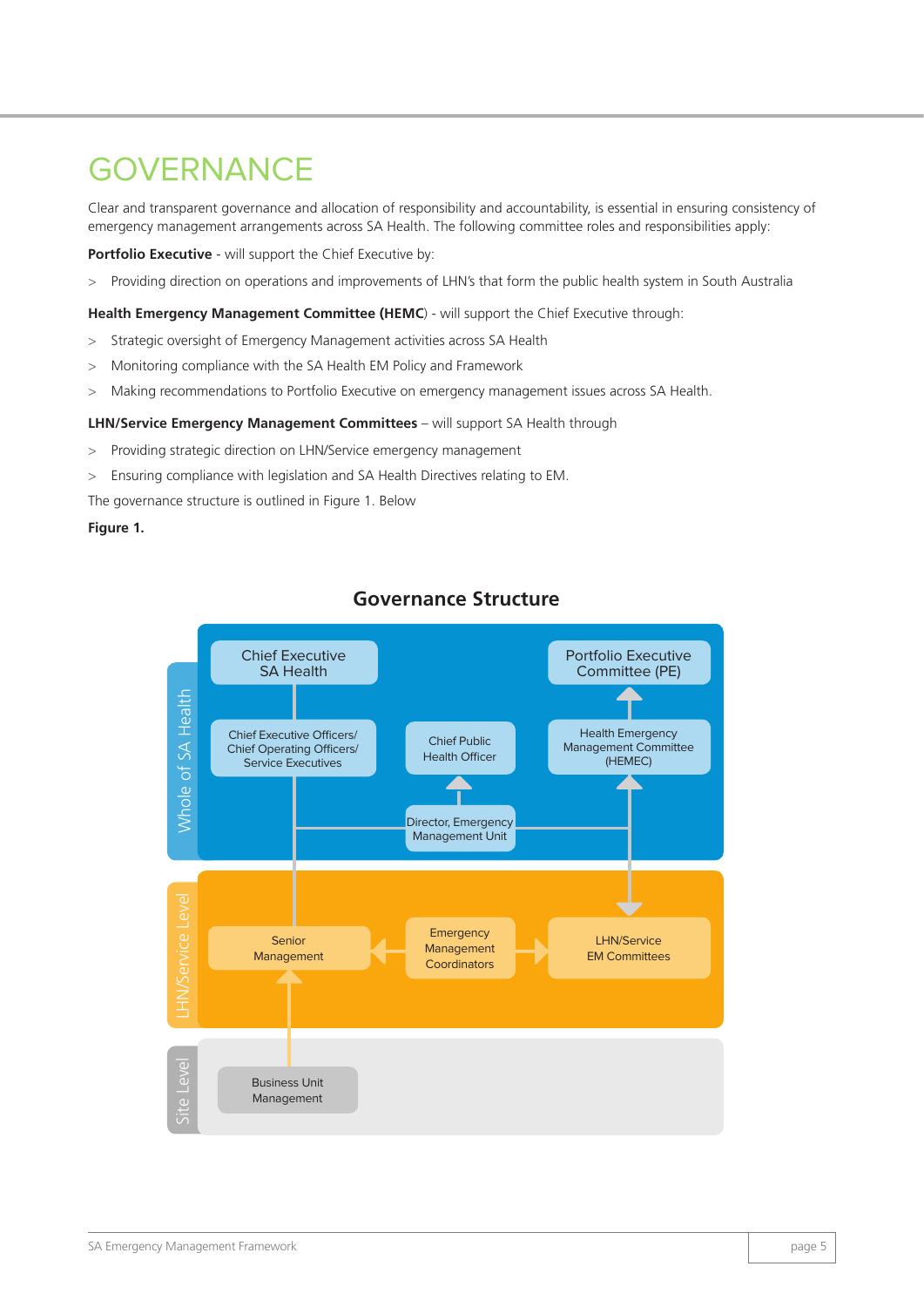# <span id="page-6-0"></span>**GOVERNANCE**

Clear and transparent governance and allocation of responsibility and accountability, is essential in ensuring consistency of emergency management arrangements across SA Health. The following committee roles and responsibilities apply:

**Portfolio Executive** - will support the Chief Executive by:

> Providing direction on operations and improvements of LHN's that form the public health system in South Australia

**Health Emergency Management Committee (HEMC**) - will support the Chief Executive through:

- > Strategic oversight of Emergency Management activities across SA Health
- > Monitoring compliance with the SA Health EM Policy and Framework
- > Making recommendations to Portfolio Executive on emergency management issues across SA Health.

#### **LHN/Service Emergency Management Committees** – will support SA Health through

- > Providing strategic direction on LHN/Service emergency management
- > Ensuring compliance with legislation and SA Health Directives relating to EM.

The governance structure is outlined in Figure 1. Below

#### **Figure 1.**



# **Governance Structure**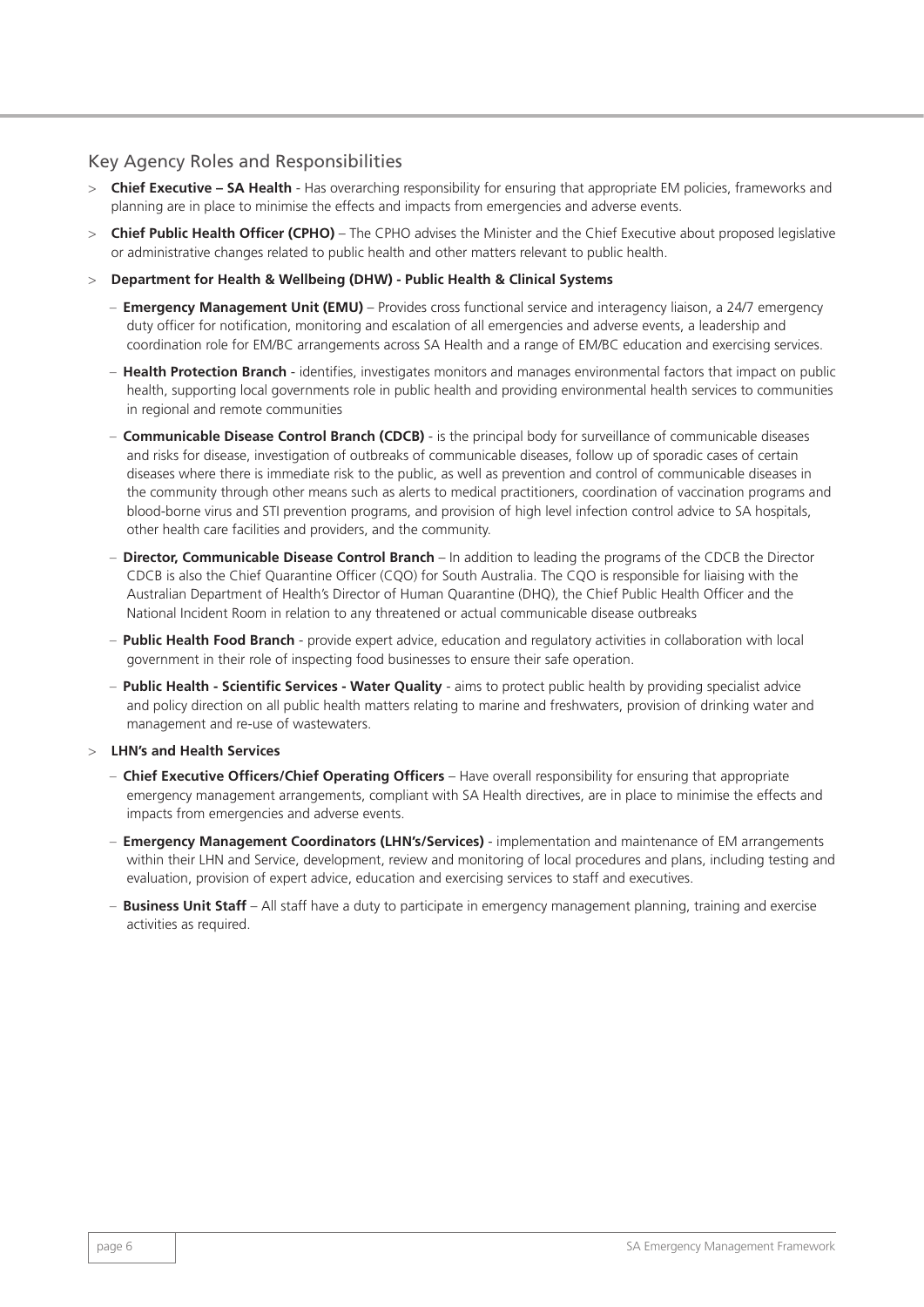# Key Agency Roles and Responsibilities

- > **Chief Executive SA Health**  Has overarching responsibility for ensuring that appropriate EM policies, frameworks and planning are in place to minimise the effects and impacts from emergencies and adverse events.
- > **Chief Public Health Officer (CPHO)**  The CPHO advises the Minister and the Chief Executive about proposed legislative or administrative changes related to public health and other matters relevant to public health.
- > **Department for Health & Wellbeing (DHW) Public Health & Clinical Systems**
	- **Emergency Management Unit (EMU)**  Provides cross functional service and interagency liaison, a 24/7 emergency duty officer for notification, monitoring and escalation of all emergencies and adverse events, a leadership and coordination role for EM/BC arrangements across SA Health and a range of EM/BC education and exercising services.
	- **Health Protection Branch**  identifies, investigates monitors and manages environmental factors that impact on public health, supporting local governments role in public health and providing environmental health services to communities in regional and remote communities
	- **Communicable Disease Control Branch (CDCB)**  is the principal body for surveillance of communicable diseases and risks for disease, investigation of outbreaks of communicable diseases, follow up of sporadic cases of certain diseases where there is immediate risk to the public, as well as prevention and control of communicable diseases in the community through other means such as alerts to medical practitioners, coordination of vaccination programs and blood-borne virus and STI prevention programs, and provision of high level infection control advice to SA hospitals, other health care facilities and providers, and the community.
	- **Director, Communicable Disease Control Branch**  In addition to leading the programs of the CDCB the Director CDCB is also the Chief Quarantine Officer (CQO) for South Australia. The CQO is responsible for liaising with the Australian Department of Health's Director of Human Quarantine (DHQ), the Chief Public Health Officer and the National Incident Room in relation to any threatened or actual communicable disease outbreaks
	- **Public Health Food Branch**  provide expert advice, education and regulatory activities in collaboration with local government in their role of inspecting food businesses to ensure their safe operation.
	- **Public Health Scientific Services Water Quality**  aims to protect public health by providing specialist advice and policy direction on all public health matters relating to marine and freshwaters, provision of drinking water and management and re-use of wastewaters.

#### > **LHN's and Health Services**

- **Chief Executive Officers/Chief Operating Officers**  Have overall responsibility for ensuring that appropriate emergency management arrangements, compliant with SA Health directives, are in place to minimise the effects and impacts from emergencies and adverse events.
- **Emergency Management Coordinators (LHN's/Services)**  implementation and maintenance of EM arrangements within their LHN and Service, development, review and monitoring of local procedures and plans, including testing and evaluation, provision of expert advice, education and exercising services to staff and executives.
- **Business Unit Staff**  All staff have a duty to participate in emergency management planning, training and exercise activities as required.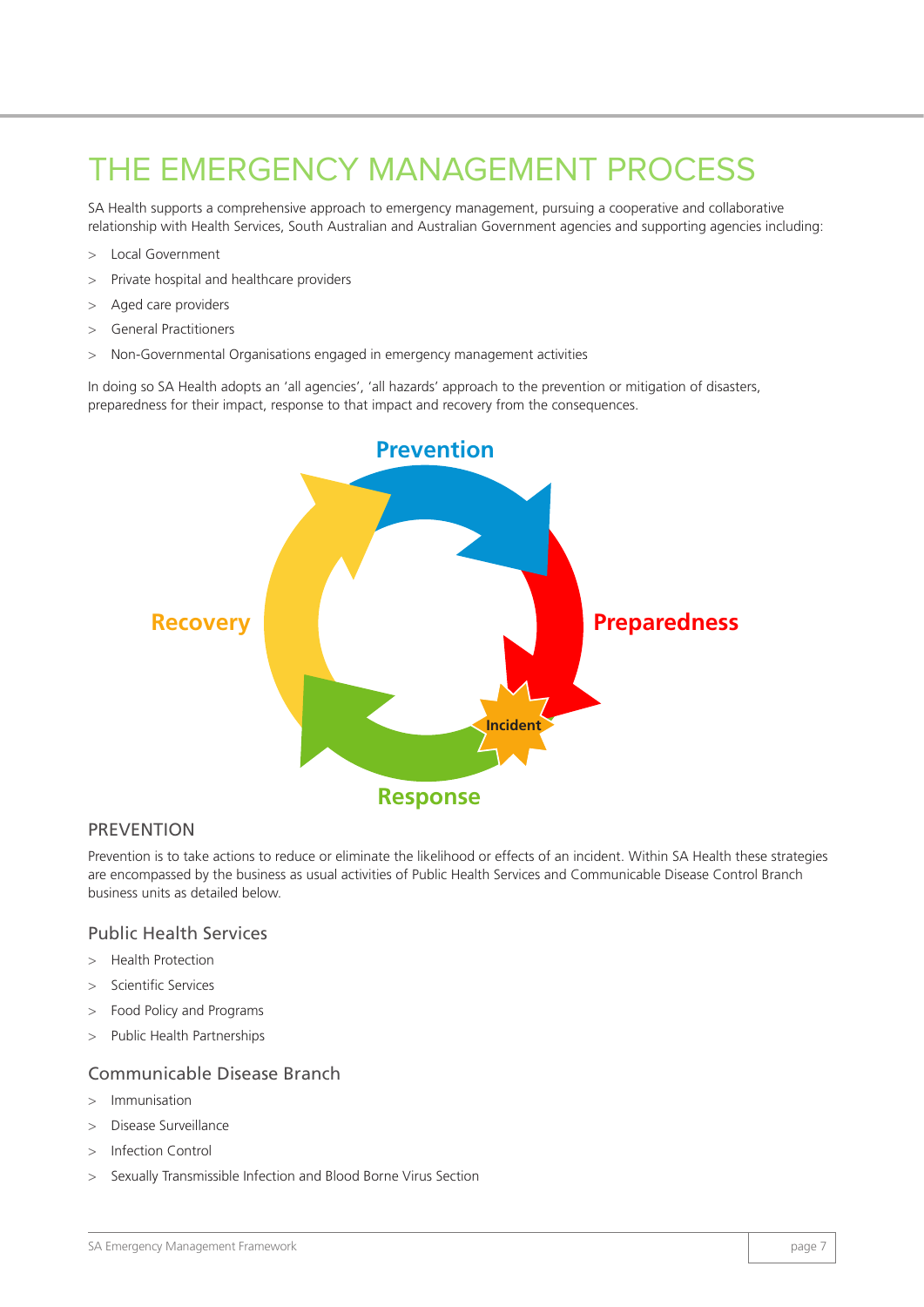# <span id="page-8-0"></span>THE EMERGENCY MANAGEMENT PROCESS

SA Health supports a comprehensive approach to emergency management, pursuing a cooperative and collaborative relationship with Health Services, South Australian and Australian Government agencies and supporting agencies including:

- > Local Government
- > Private hospital and healthcare providers
- > Aged care providers
- > General Practitioners
- > Non-Governmental Organisations engaged in emergency management activities

In doing so SA Health adopts an 'all agencies', 'all hazards' approach to the prevention or mitigation of disasters, preparedness for their impact, response to that impact and recovery from the consequences.



## **PREVENTION**

Prevention is to take actions to reduce or eliminate the likelihood or effects of an incident. Within SA Health these strategies are encompassed by the business as usual activities of Public Health Services and Communicable Disease Control Branch business units as detailed below.

# Public Health Services

- > Health Protection
- > Scientific Services
- > Food Policy and Programs
- > Public Health Partnerships

# Communicable Disease Branch

- > Immunisation
- > Disease Surveillance
- > Infection Control
- > Sexually Transmissible Infection and Blood Borne Virus Section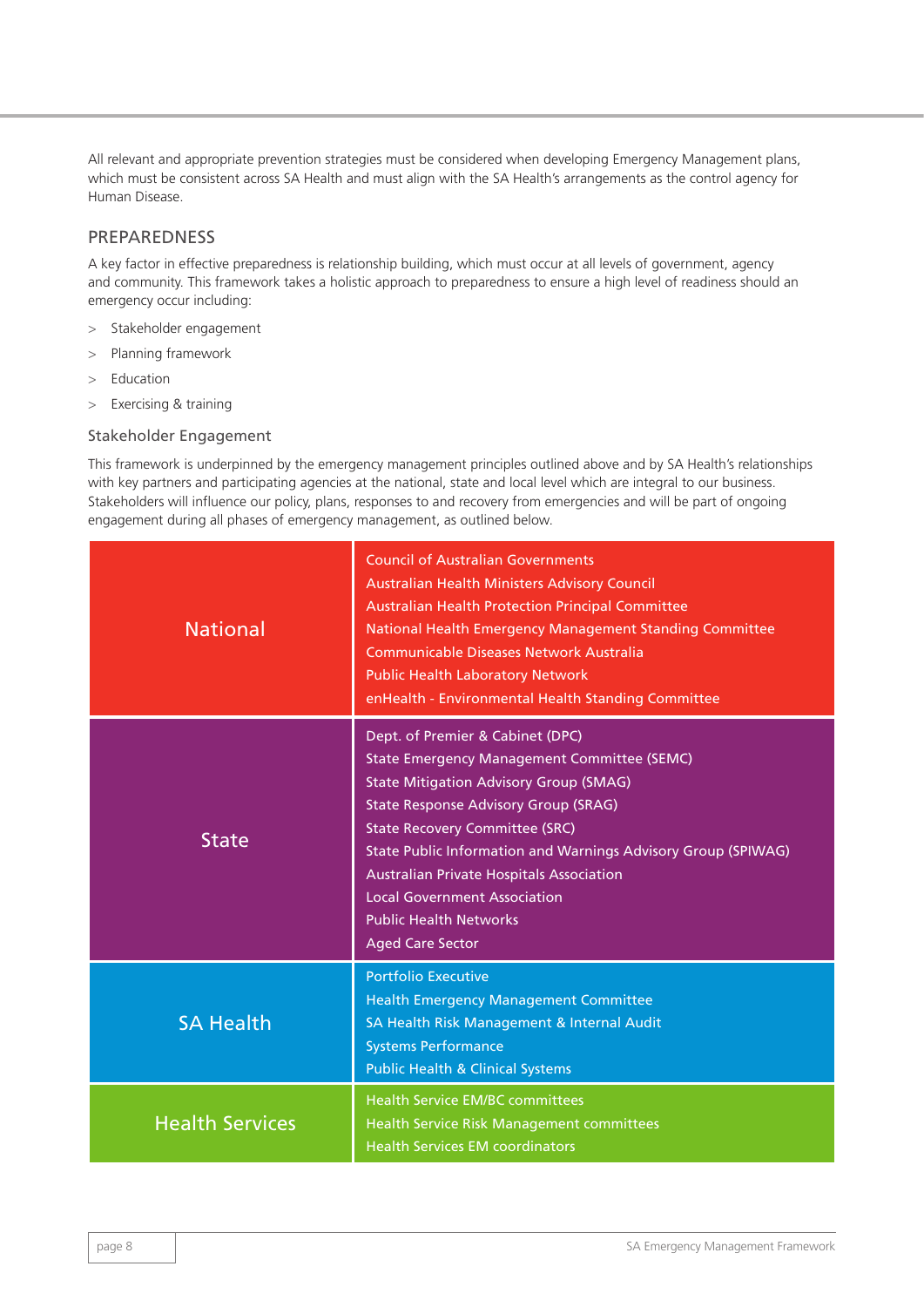All relevant and appropriate prevention strategies must be considered when developing Emergency Management plans, which must be consistent across SA Health and must align with the SA Health's arrangements as the control agency for Human Disease.

# **PREPAREDNESS**

A key factor in effective preparedness is relationship building, which must occur at all levels of government, agency and community. This framework takes a holistic approach to preparedness to ensure a high level of readiness should an emergency occur including:

- > Stakeholder engagement
- > Planning framework
- > Education
- > Exercising & training

#### Stakeholder Engagement

This framework is underpinned by the emergency management principles outlined above and by SA Health's relationships with key partners and participating agencies at the national, state and local level which are integral to our business. Stakeholders will influence our policy, plans, responses to and recovery from emergencies and will be part of ongoing engagement during all phases of emergency management, as outlined below.

| <b>National</b>        | <b>Council of Australian Governments</b><br>Australian Health Ministers Advisory Council<br><b>Australian Health Protection Principal Committee</b><br>National Health Emergency Management Standing Committee<br>Communicable Diseases Network Australia<br><b>Public Health Laboratory Network</b><br>enHealth - Environmental Health Standing Committee                                                                                             |
|------------------------|--------------------------------------------------------------------------------------------------------------------------------------------------------------------------------------------------------------------------------------------------------------------------------------------------------------------------------------------------------------------------------------------------------------------------------------------------------|
| <b>State</b>           | Dept. of Premier & Cabinet (DPC)<br><b>State Emergency Management Committee (SEMC)</b><br><b>State Mitigation Advisory Group (SMAG)</b><br><b>State Response Advisory Group (SRAG)</b><br><b>State Recovery Committee (SRC)</b><br>State Public Information and Warnings Advisory Group (SPIWAG)<br><b>Australian Private Hospitals Association</b><br><b>Local Government Association</b><br><b>Public Health Networks</b><br><b>Aged Care Sector</b> |
| <b>SA Health</b>       | <b>Portfolio Executive</b><br><b>Health Emergency Management Committee</b><br>SA Health Risk Management & Internal Audit<br><b>Systems Performance</b><br><b>Public Health &amp; Clinical Systems</b>                                                                                                                                                                                                                                                  |
| <b>Health Services</b> | <b>Health Service EM/BC committees</b><br>Health Service Risk Management committees<br><b>Health Services EM coordinators</b>                                                                                                                                                                                                                                                                                                                          |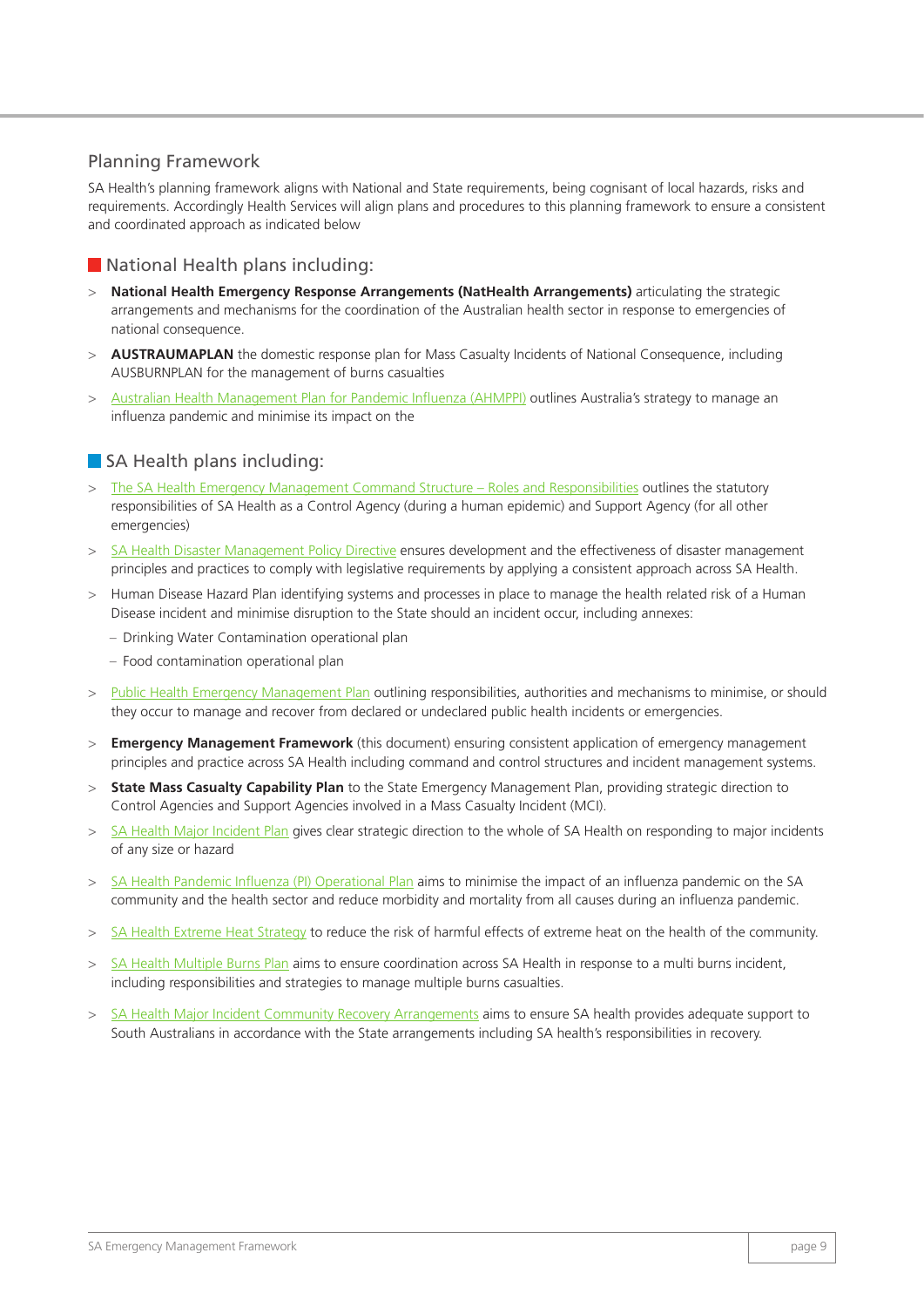# Planning Framework

SA Health's planning framework aligns with National and State requirements, being cognisant of local hazards, risks and requirements. Accordingly Health Services will align plans and procedures to this planning framework to ensure a consistent and coordinated approach as indicated below

# National Health plans including:

- > **National Health Emergency Response Arrangements (NatHealth Arrangements)** articulating the strategic arrangements and mechanisms for the coordination of the Australian health sector in response to emergencies of national consequence.
- > **AUSTRAUMAPLAN** the domestic response plan for Mass Casualty Incidents of National Consequence, including AUSBURNPLAN for the management of burns casualties
- [Australian Health Management Plan for Pandemic Influenza \(AHMPPI\)](http://www.health.gov.au/internet/main/publishing.nsf/Content/ohp-ahmppi.htm) outlines Australia's strategy to manage an influenza pandemic and minimise its impact on the

# **SA Health plans including:**

- [The SA Health Emergency Management Command Structure Roles and Responsibilities](http://www.sahealth.sa.gov.au/wps/wcm/connect/c4cefbf9-d87e-49ab-866b-837b74b30d2b/18067.3+-+Emergency+Management+CommandStructure%28V2%29.pdf?MOD=AJPERES&CACHEID=ROOTWORKSPACE-c4cefbf9-d87e-49ab-866b-837b74b30d2b-mh4ZHMo
) outlines the statutory responsibilities of SA Health as a Control Agency (during a human epidemic) and Support Agency (for all other emergencies)
- > [SA Health Disaster Management Policy Directive](http://www.sahealth.sa.gov.au/wps/wcm/connect/dd46b1004819f1f7b8dff9a058099465/Directive_Emergency+Management_24032016.pdf?MOD=AJPERES&CACHEID=ROOTWORKSPACE-dd46b1004819f1f7b8dff9a058099465-m08ezB6) ensures development and the effectiveness of disaster management principles and practices to comply with legislative requirements by applying a consistent approach across SA Health.
- > Human Disease Hazard Plan identifying systems and processes in place to manage the health related risk of a Human Disease incident and minimise disruption to the State should an incident occur, including annexes:
	- Drinking Water Contamination operational plan
	- Food contamination operational plan
- > [Public Health Emergency Management Plan](http://www.sahealth.sa.gov.au/wps/wcm/connect/d71be800426fefedb5acb7adc5e910c3/Public+Health+Emergency+Management+Plan+2015.pdf?MOD=AJPERES&CACHEID=ROOTWORKSPACE-d71be800426fefedb5acb7adc5e910c3-lUROsaS) outlining responsibilities, authorities and mechanisms to minimise, or should they occur to manage and recover from declared or undeclared public health incidents or emergencies.
- > **Emergency Management Framework** (this document) ensuring consistent application of emergency management principles and practice across SA Health including command and control structures and incident management systems.
- > **State Mass Casualty Capability Plan** to the State Emergency Management Plan, providing strategic direction to Control Agencies and Support Agencies involved in a Mass Casualty Incident (MCI).
- [SA Health Major Incident Plan](http://www.sahealth.sa.gov.au/wps/wcm/connect/ebb83e0040c21165a36ca33ee9bece4b/SA+Health+Major+Incident+Plan-v1.pdf?MOD=AJPERES&CACHEID=ROOTWORKSPACE-ebb83e0040c21165a36ca33ee9bece4b-maWgT2n) gives clear strategic direction to the whole of SA Health on responding to major incidents of any size or hazard
- > [SA Health Pandemic Influenza \(PI\) Operational Plan](http://www.sahealth.sa.gov.au/wps/wcm/connect/92b0e0804338c7cf8502ed8bf287c74e/15060.1+Pandemic+Influenza+Plan+A4+Report-v3.pdf?MOD=AJPERES&CACHEID=ROOTWORKSPACE-92b0e0804338c7cf8502ed8bf287c74e-lmsEreu) aims to minimise the impact of an influenza pandemic on the SA community and the health sector and reduce morbidity and mortality from all causes during an influenza pandemic.
- > [SA Health Extreme Heat Strategy](http://www.sahealth.sa.gov.au/wps/wcm/connect/33e7f9004708784eb87ff822d29d99f6/SA+Health+Extreme+Heat+Strategy+V6.11.pdf?MOD=AJPERES&CACHEID=ROOTWORKSPACE-33e7f9004708784eb87ff822d29d99f6-lDYhIfA) to reduce the risk of harmful effects of extreme heat on the health of the community.
- [SA Health Multiple Burns Plan](http://www.sahealth.sa.gov.au/wps/wcm/connect/9c81318040c2134ea390a33ee9bece4b/SA+Health+Multipile+Burns+Plan+v1.pdf?MOD=AJPERES&CACHEID=ROOTWORKSPACE-9c81318040c2134ea390a33ee9bece4b-maWgT5j) aims to ensure coordination across SA Health in response to a multi burns incident, including responsibilities and strategies to manage multiple burns casualties.
- [SA Health Major Incident Community Recovery Arrangements](http://www.sahealth.sa.gov.au/wps/wcm/connect/ed68798040c22020a497a73ee9bece4b/SA+Health+Major+Incident+Community+Recovery+Arrangements+V1.1.pdf?MOD=AJPERES&CACHEID=ROOTWORKSPACE-ed68798040c22020a497a73ee9bece4b-maWgTvr) aims to ensure SA health provides adequate support to South Australians in accordance with the State arrangements including SA health's responsibilities in recovery.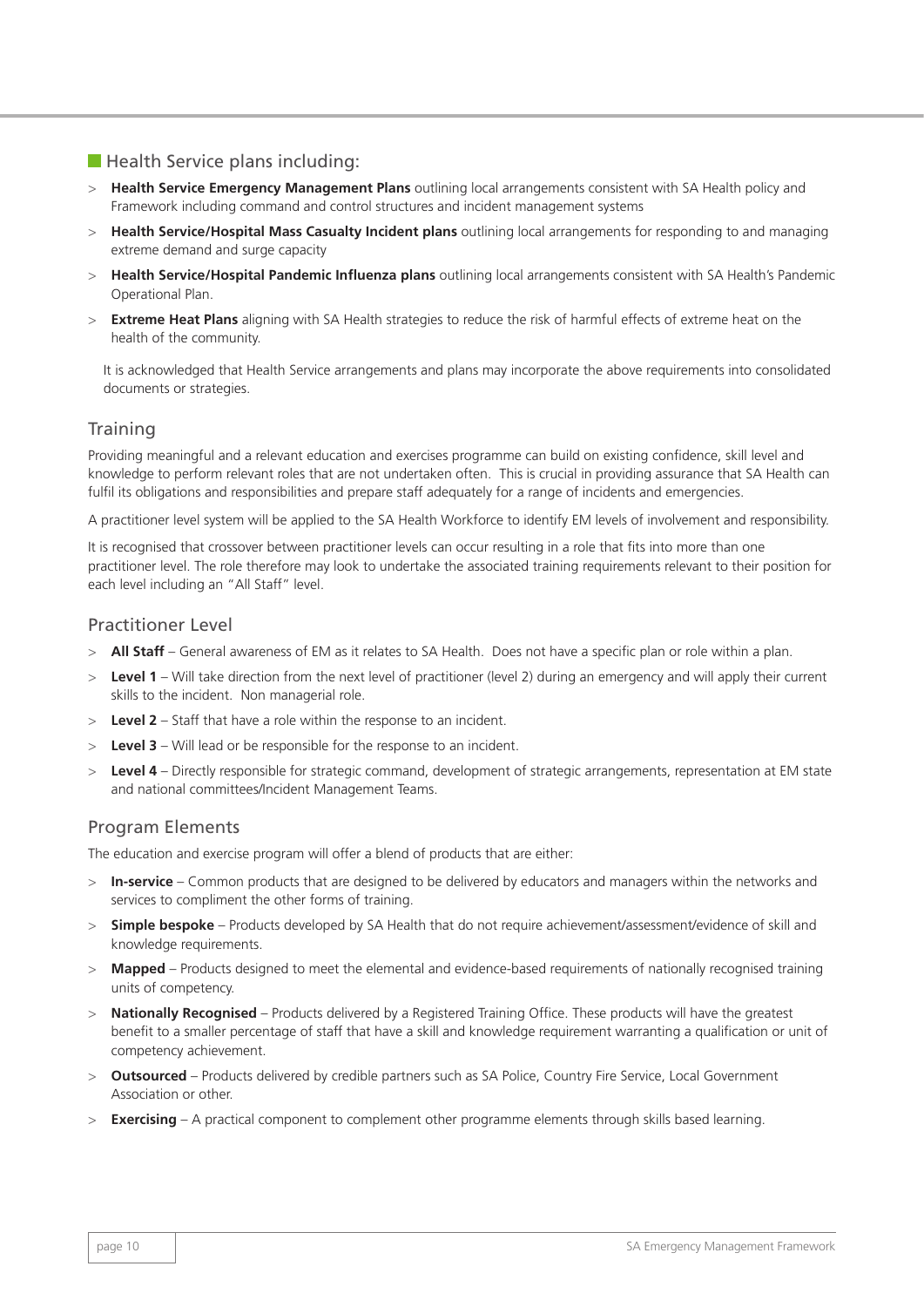# **Health Service plans including:**

- > **Health Service Emergency Management Plans** outlining local arrangements consistent with SA Health policy and Framework including command and control structures and incident management systems
- > **Health Service/Hospital Mass Casualty Incident plans** outlining local arrangements for responding to and managing extreme demand and surge capacity
- > **Health Service/Hospital Pandemic Influenza plans** outlining local arrangements consistent with SA Health's Pandemic Operational Plan.
- > **Extreme Heat Plans** aligning with SA Health strategies to reduce the risk of harmful effects of extreme heat on the health of the community.

 It is acknowledged that Health Service arrangements and plans may incorporate the above requirements into consolidated documents or strategies.

# Training

Providing meaningful and a relevant education and exercises programme can build on existing confidence, skill level and knowledge to perform relevant roles that are not undertaken often. This is crucial in providing assurance that SA Health can fulfil its obligations and responsibilities and prepare staff adequately for a range of incidents and emergencies.

A practitioner level system will be applied to the SA Health Workforce to identify EM levels of involvement and responsibility.

It is recognised that crossover between practitioner levels can occur resulting in a role that fits into more than one practitioner level. The role therefore may look to undertake the associated training requirements relevant to their position for each level including an "All Staff" level.

#### Practitioner Level

- > **All Staff**  General awareness of EM as it relates to SA Health. Does not have a specific plan or role within a plan.
- **Level 1** Will take direction from the next level of practitioner (level 2) during an emergency and will apply their current skills to the incident. Non managerial role.
- > **Level 2**  Staff that have a role within the response to an incident.
- **Level 3** Will lead or be responsible for the response to an incident.
- > **Level 4**  Directly responsible for strategic command, development of strategic arrangements, representation at EM state and national committees/Incident Management Teams.

# Program Elements

The education and exercise program will offer a blend of products that are either:

- > **In-service** Common products that are designed to be delivered by educators and managers within the networks and services to compliment the other forms of training.
- > **Simple bespoke**  Products developed by SA Health that do not require achievement/assessment/evidence of skill and knowledge requirements.
- > **Mapped**  Products designed to meet the elemental and evidence-based requirements of nationally recognised training units of competency.
- > **Nationally Recognised**  Products delivered by a Registered Training Office. These products will have the greatest benefit to a smaller percentage of staff that have a skill and knowledge requirement warranting a qualification or unit of competency achievement.
- > **Outsourced**  Products delivered by credible partners such as SA Police, Country Fire Service, Local Government Association or other.
- > **Exercising**  A practical component to complement other programme elements through skills based learning.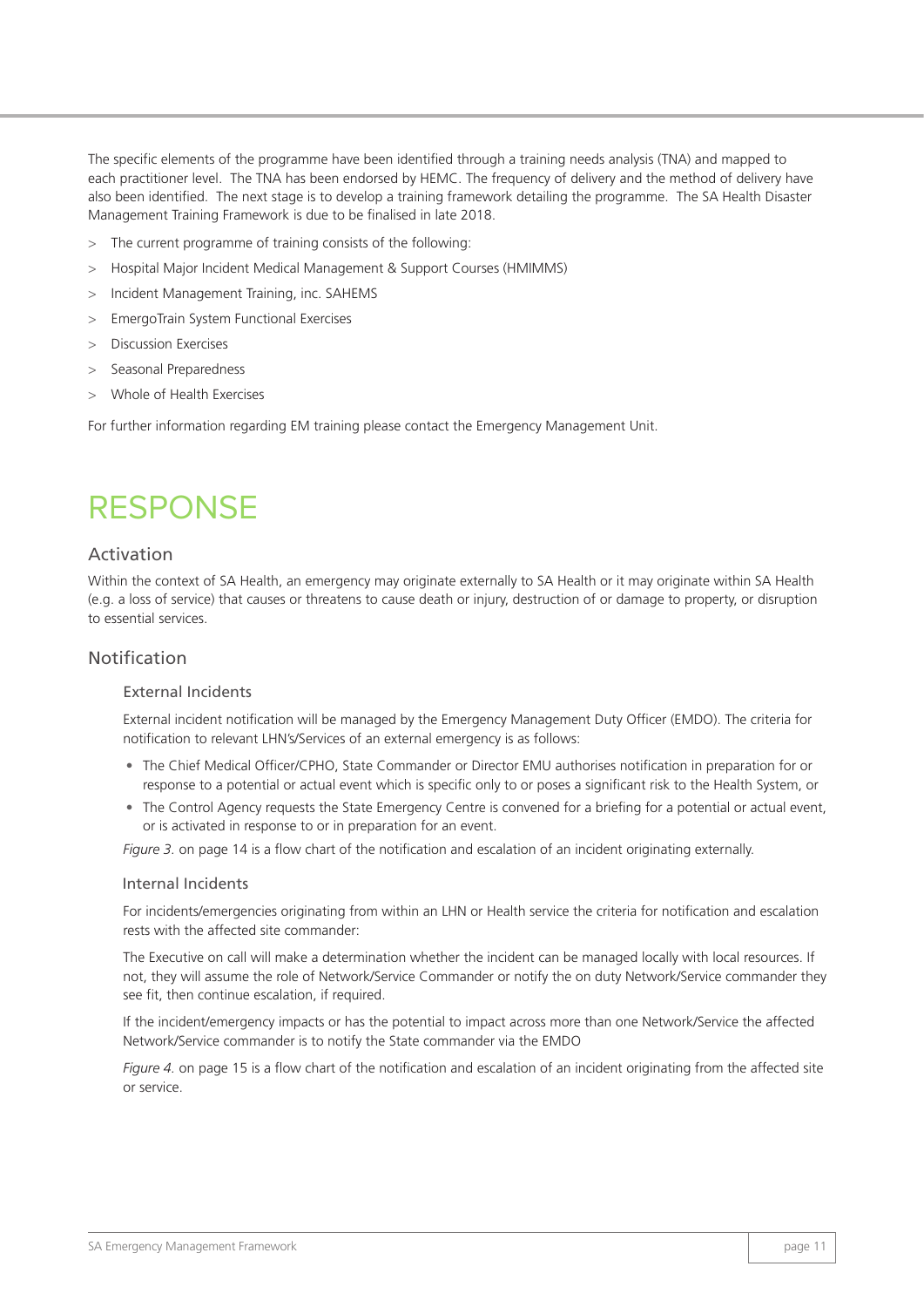<span id="page-12-0"></span>The specific elements of the programme have been identified through a training needs analysis (TNA) and mapped to each practitioner level. The TNA has been endorsed by HEMC. The frequency of delivery and the method of delivery have also been identified. The next stage is to develop a training framework detailing the programme. The SA Health Disaster Management Training Framework is due to be finalised in late 2018.

- > The current programme of training consists of the following:
- > Hospital Major Incident Medical Management & Support Courses (HMIMMS)
- > Incident Management Training, inc. SAHEMS
- > EmergoTrain System Functional Exercises
- > Discussion Exercises
- > Seasonal Preparedness
- > Whole of Health Exercises

For further information regarding EM training please contact the Emergency Management Unit.

# RESPONSE

# Activation

Within the context of SA Health, an emergency may originate externally to SA Health or it may originate within SA Health (e.g. a loss of service) that causes or threatens to cause death or injury, destruction of or damage to property, or disruption to essential services.

# Notification

#### External Incidents

 External incident notification will be managed by the Emergency Management Duty Officer (EMDO). The criteria for notification to relevant LHN's/Services of an external emergency is as follows:

- The Chief Medical Officer/CPHO, State Commander or Director EMU authorises notification in preparation for or response to a potential or actual event which is specific only to or poses a significant risk to the Health System, or
- The Control Agency requests the State Emergency Centre is convened for a briefing for a potential or actual event, or is activated in response to or in preparation for an event.

*Figure 3.* on page 14 is a flow chart of the notification and escalation of an incident originating externally.

#### Internal Incidents

 For incidents/emergencies originating from within an LHN or Health service the criteria for notification and escalation rests with the affected site commander:

 The Executive on call will make a determination whether the incident can be managed locally with local resources. If not, they will assume the role of Network/Service Commander or notify the on duty Network/Service commander they see fit, then continue escalation, if required.

 If the incident/emergency impacts or has the potential to impact across more than one Network/Service the affected Network/Service commander is to notify the State commander via the EMDO

 *Figure 4.* on page 15 is a flow chart of the notification and escalation of an incident originating from the affected site or service.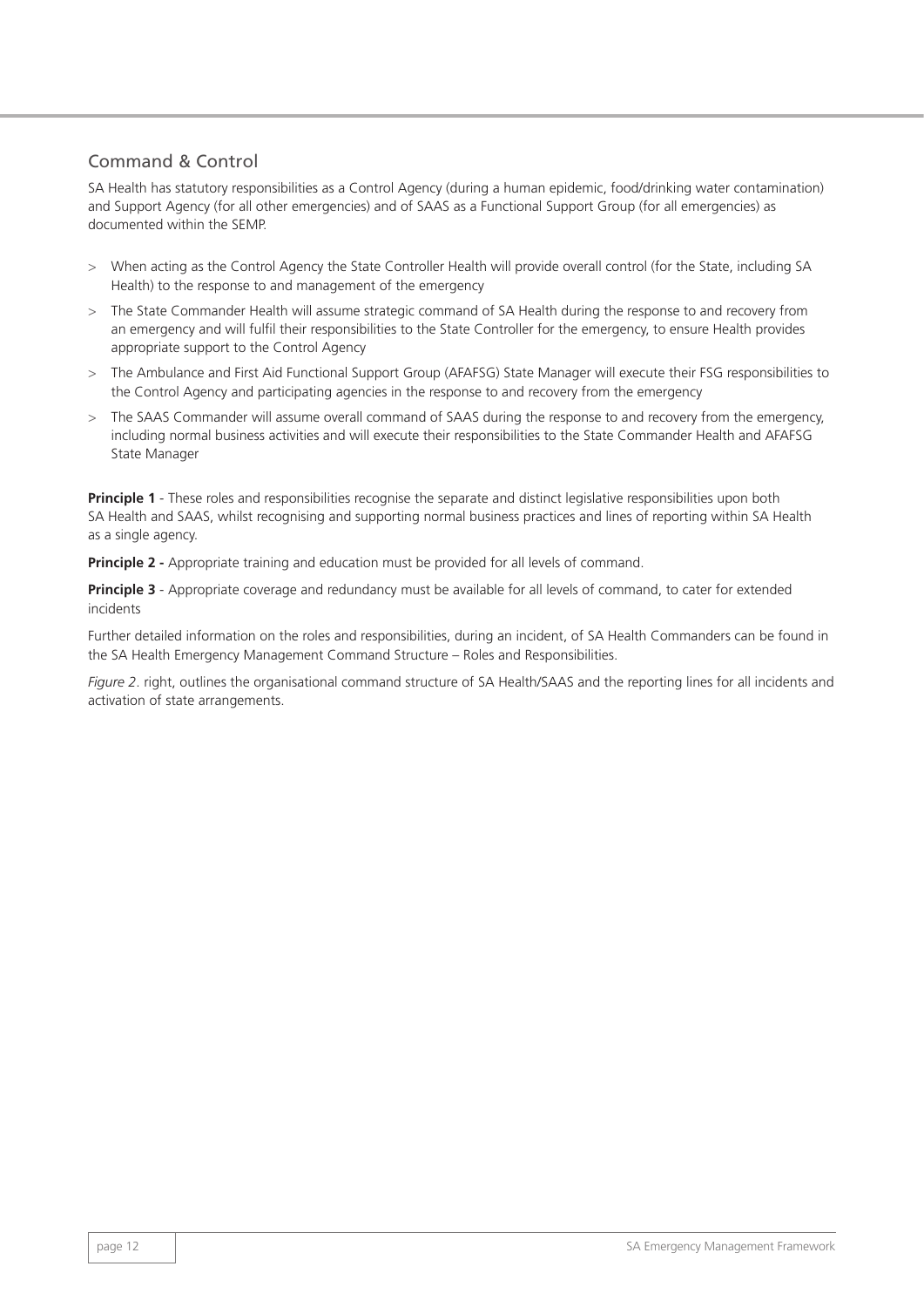# Command & Control

SA Health has statutory responsibilities as a Control Agency (during a human epidemic, food/drinking water contamination) and Support Agency (for all other emergencies) and of SAAS as a Functional Support Group (for all emergencies) as documented within the SEMP.

- > When acting as the Control Agency the State Controller Health will provide overall control (for the State, including SA Health) to the response to and management of the emergency
- > The State Commander Health will assume strategic command of SA Health during the response to and recovery from an emergency and will fulfil their responsibilities to the State Controller for the emergency, to ensure Health provides appropriate support to the Control Agency
- > The Ambulance and First Aid Functional Support Group (AFAFSG) State Manager will execute their FSG responsibilities to the Control Agency and participating agencies in the response to and recovery from the emergency
- The SAAS Commander will assume overall command of SAAS during the response to and recovery from the emergency, including normal business activities and will execute their responsibilities to the State Commander Health and AFAFSG State Manager

**Principle 1** - These roles and responsibilities recognise the separate and distinct legislative responsibilities upon both SA Health and SAAS, whilst recognising and supporting normal business practices and lines of reporting within SA Health as a single agency.

**Principle 2 -** Appropriate training and education must be provided for all levels of command.

**Principle 3** - Appropriate coverage and redundancy must be available for all levels of command, to cater for extended incidents

Further detailed information on the roles and responsibilities, during an incident, of SA Health Commanders can be found in the SA Health Emergency Management Command Structure – Roles and Responsibilities.

*Figure 2*. right, outlines the organisational command structure of SA Health/SAAS and the reporting lines for all incidents and activation of state arrangements.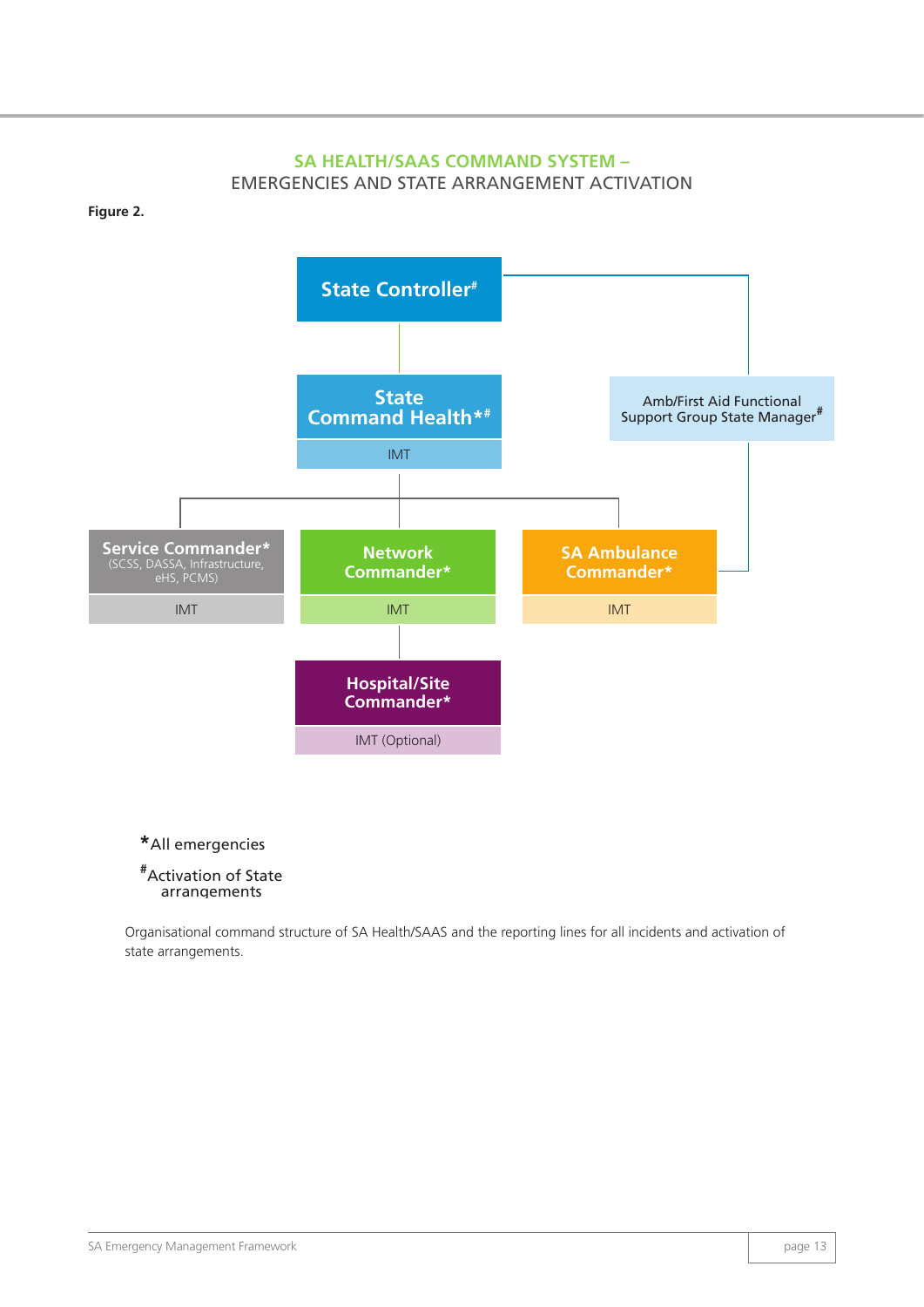# **SA HEALTH/SAAS COMMAND SYSTEM –**

EMERGENCIES AND STATE ARRANGEMENT ACTIVATION

**Figure 2.**



# **\***All emergencies

**#** Activation of State arrangements

Organisational command structure of SA Health/SAAS and the reporting lines for all incidents and activation of state arrangements.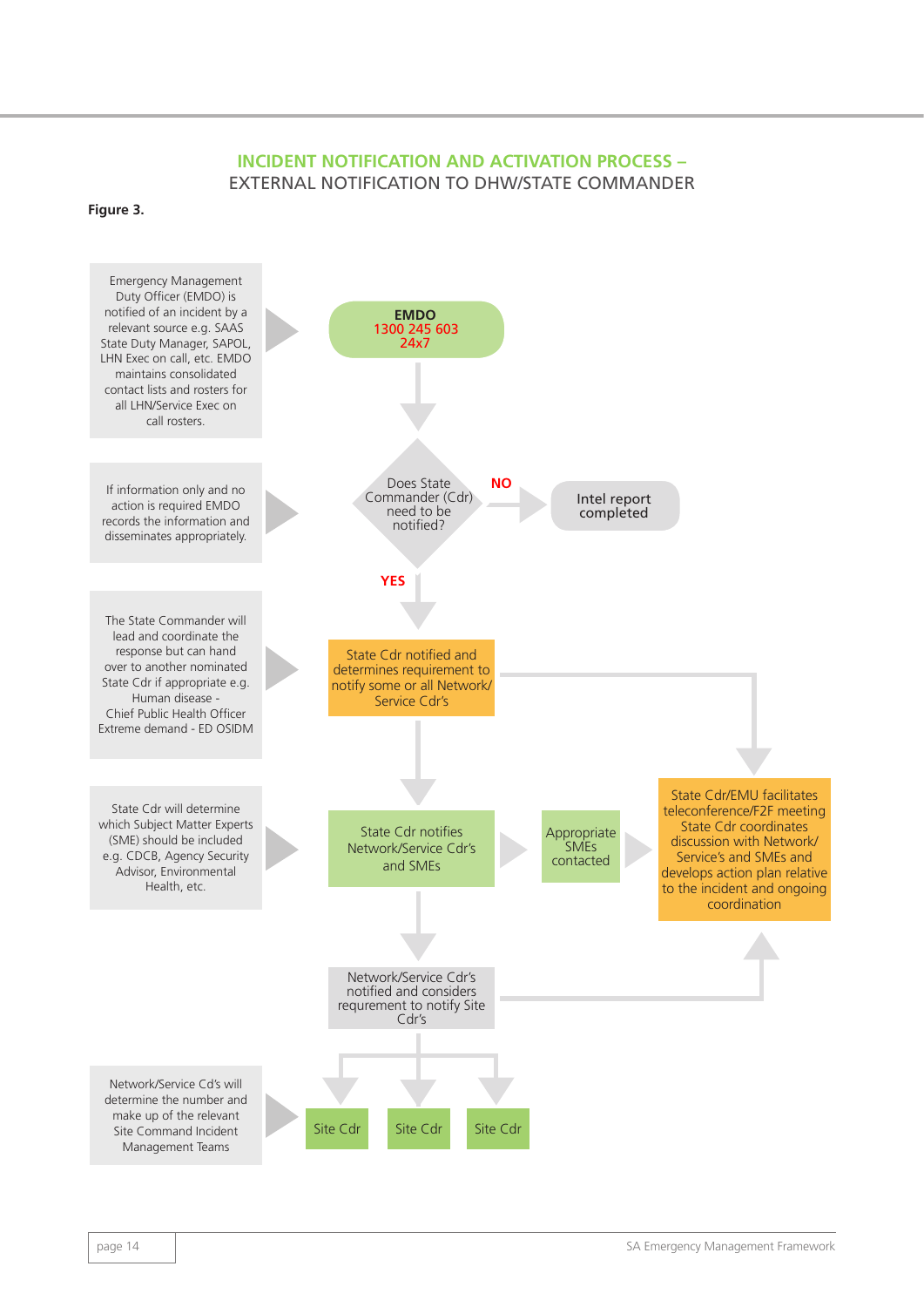# **INCIDENT NOTIFICATION AND ACTIVATION PROCESS –**  EXTERNAL NOTIFICATION TO DHW/STATE COMMANDER

#### **Figure 3.**

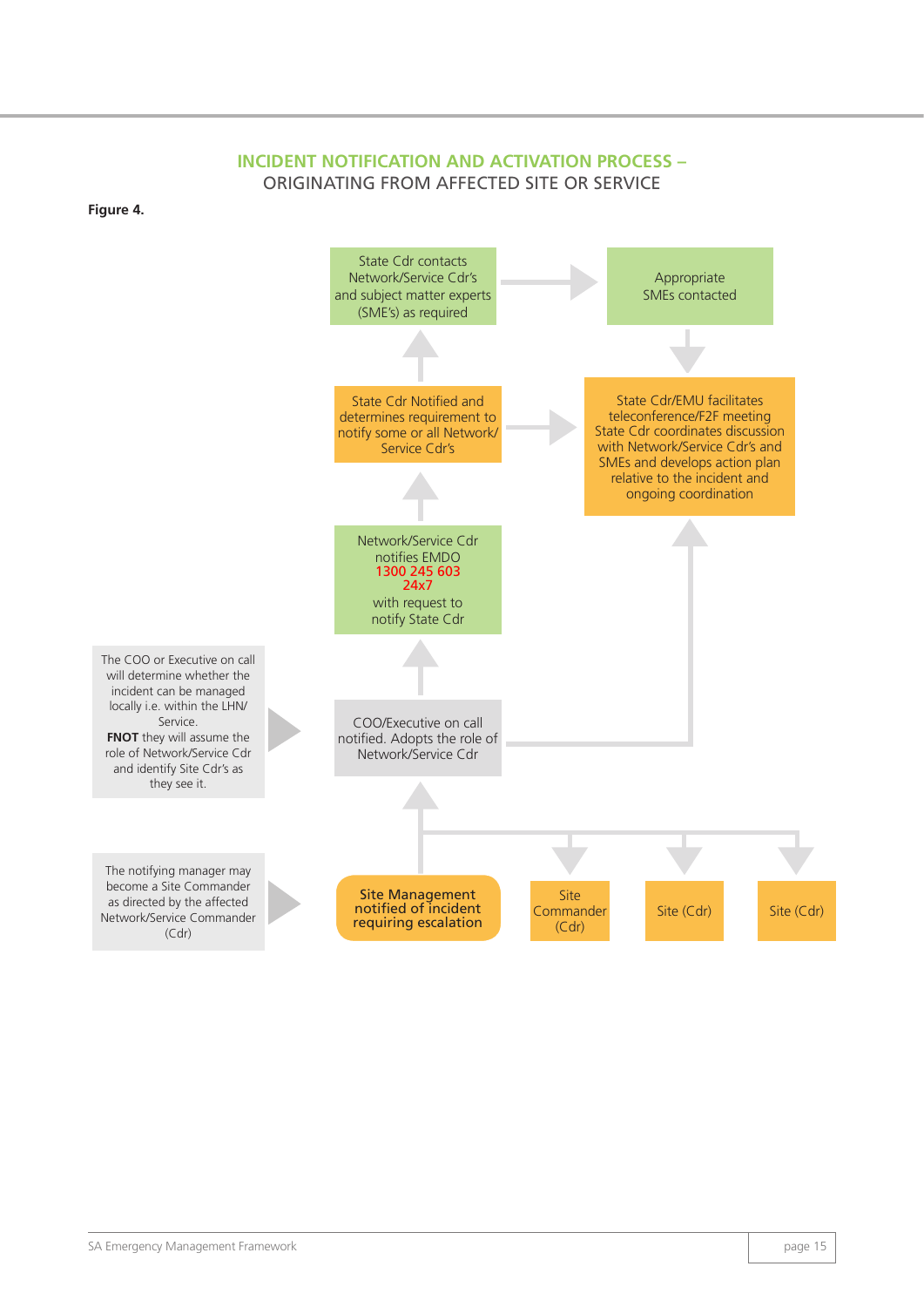## **INCIDENT NOTIFICATION AND ACTIVATION PROCESS –**  ORIGINATING FROM AFFECTED SITE OR SERVICE

**Figure 4.**

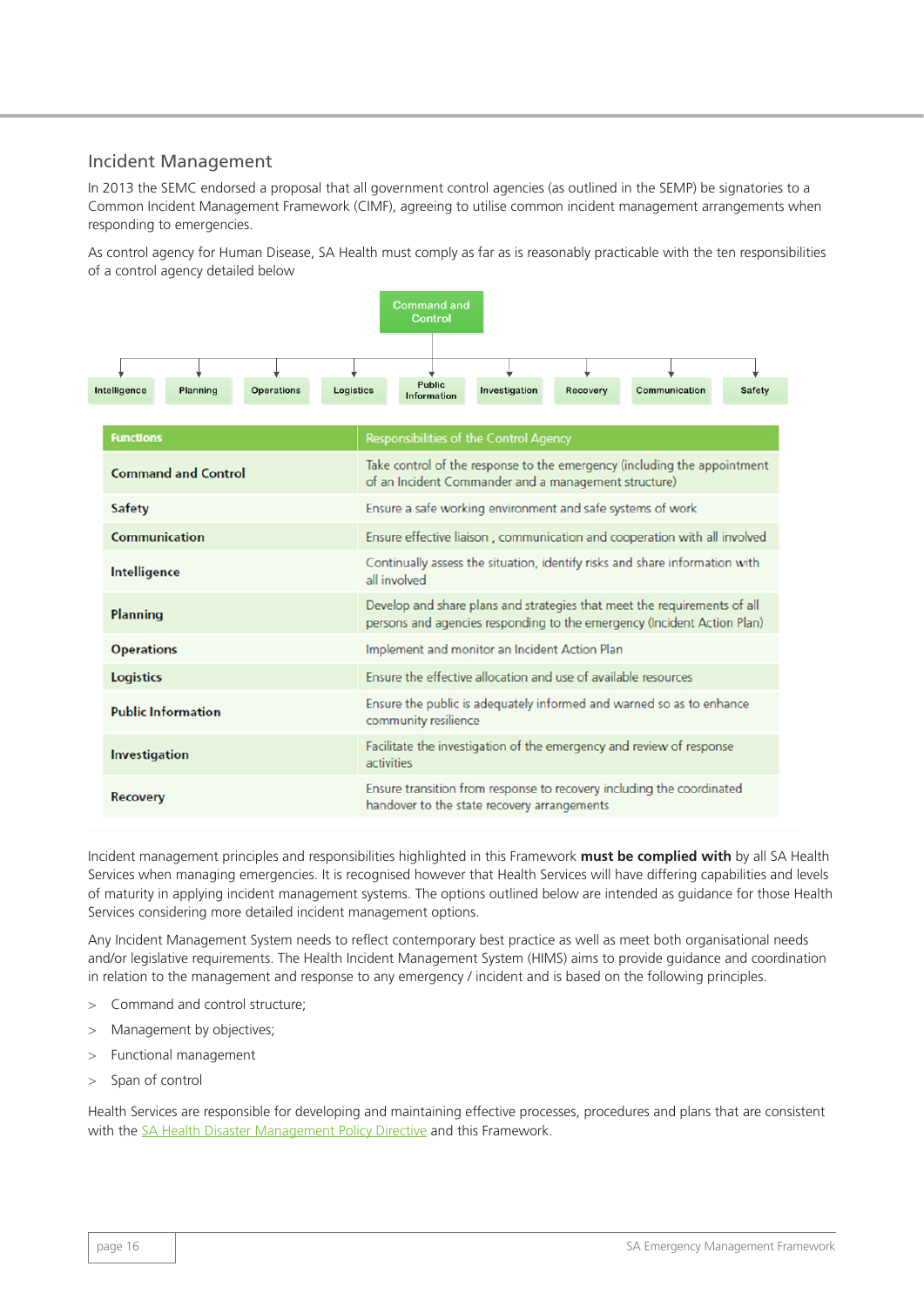# Incident Management

In 2013 the SEMC endorsed a proposal that all government control agencies (as outlined in the SEMP) be signatories to a Common Incident Management Framework (CIMF), agreeing to utilise common incident management arrangements when responding to emergencies.

As control agency for Human Disease, SA Health must comply as far as is reasonably practicable with the ten responsibilities of a control agency detailed below



Incident management principles and responsibilities highlighted in this Framework **must be complied with** by all SA Health Services when managing emergencies. It is recognised however that Health Services will have differing capabilities and levels of maturity in applying incident management systems. The options outlined below are intended as guidance for those Health Services considering more detailed incident management options.

Any Incident Management System needs to reflect contemporary best practice as well as meet both organisational needs and/or legislative requirements. The Health Incident Management System (HIMS) aims to provide guidance and coordination in relation to the management and response to any emergency / incident and is based on the following principles.

- > Command and control structure;
- > Management by objectives;
- > Functional management
- Span of control

Health Services are responsible for developing and maintaining effective processes, procedures and plans that are consistent with the [SA Health Disaster Management Policy Directive](http://www.sahealth.sa.gov.au/wps/wcm/connect/dd46b1004819f1f7b8dff9a058099465/Directive_Emergency+Management_24032016.pdf?MOD=AJPERES&CACHEID=ROOTWORKSPACE-dd46b1004819f1f7b8dff9a058099465-m08ezB6) and this Framework.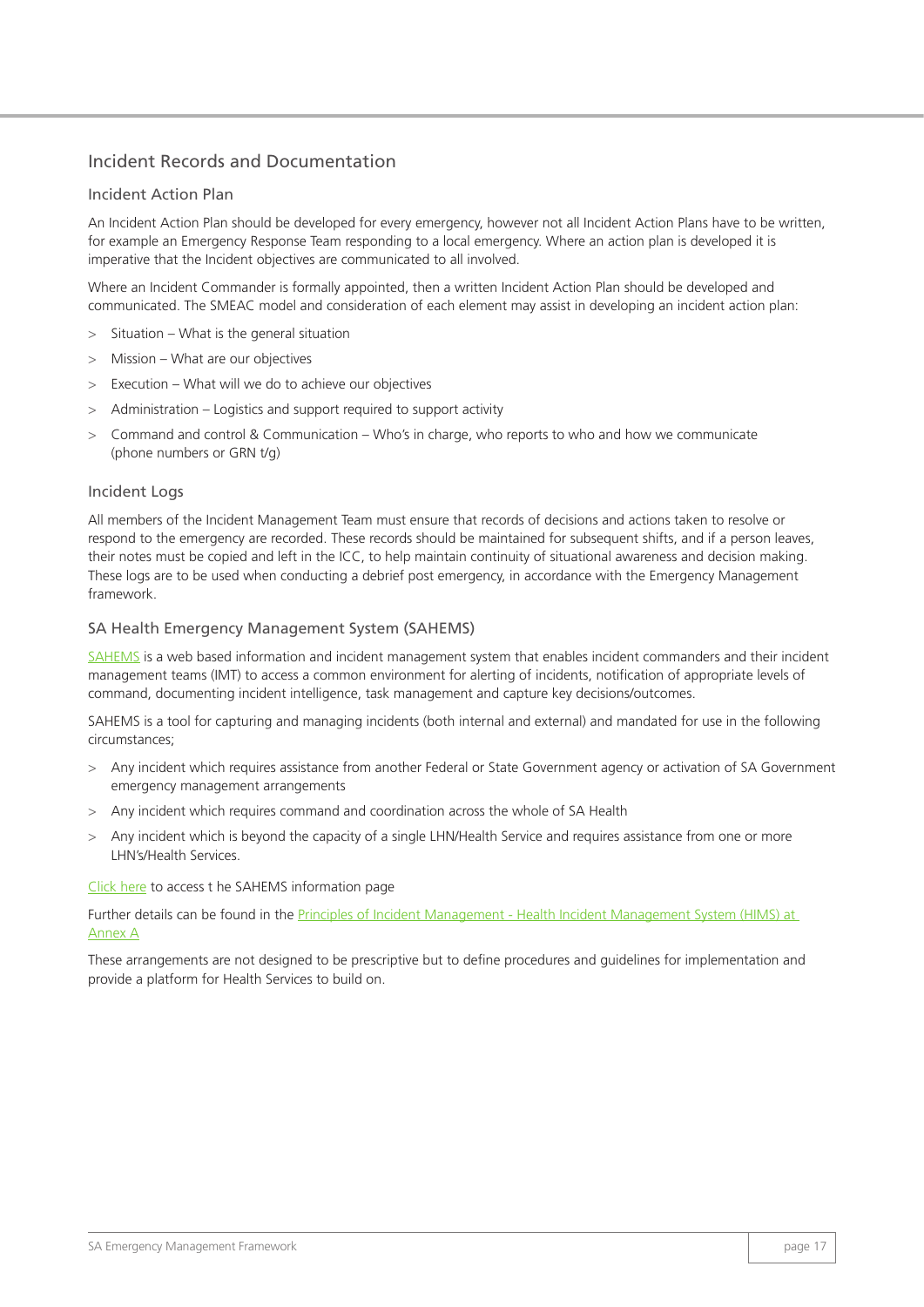# Incident Records and Documentation

#### Incident Action Plan

An Incident Action Plan should be developed for every emergency, however not all Incident Action Plans have to be written, for example an Emergency Response Team responding to a local emergency. Where an action plan is developed it is imperative that the Incident objectives are communicated to all involved.

Where an Incident Commander is formally appointed, then a written Incident Action Plan should be developed and communicated. The SMEAC model and consideration of each element may assist in developing an incident action plan:

- > Situation What is the general situation
- > Mission What are our objectives
- > Execution What will we do to achieve our objectives
- Administration Logistics and support required to support activity
- > Command and control & Communication Who's in charge, who reports to who and how we communicate (phone numbers or GRN t/g)

#### Incident Logs

All members of the Incident Management Team must ensure that records of decisions and actions taken to resolve or respond to the emergency are recorded. These records should be maintained for subsequent shifts, and if a person leaves, their notes must be copied and left in the ICC, to help maintain continuity of situational awareness and decision making. These logs are to be used when conducting a debrief post emergency, in accordance with the Emergency Management framework.

#### SA Health Emergency Management System (SAHEMS)

[SAHEMS](http://www.sahealth.sa.gov.au/wps/wcm/connect/public+content/sa+health+internet/protecting+public+health/emergency+management/sa+health+emergency+management+system+sahems) is a web based information and incident management system that enables incident commanders and their incident management teams (IMT) to access a common environment for alerting of incidents, notification of appropriate levels of command, documenting incident intelligence, task management and capture key decisions/outcomes.

SAHEMS is a tool for capturing and managing incidents (both internal and external) and mandated for use in the following circumstances;

- > Any incident which requires assistance from another Federal or State Government agency or activation of SA Government emergency management arrangements
- > Any incident which requires command and coordination across the whole of SA Health
- > Any incident which is beyond the capacity of a single LHN/Health Service and requires assistance from one or more LHN's/Health Services.

#### [Click here](http://www.sahealth.sa.gov.au/wps/wcm/connect/public+content/sa+health+internet/protecting+public+health/emergency+management/sa+health+emergency+management+system+sahems) to access t he SAHEMS information page

Further details can be found in the [Principles of Incident Management - Health Incident Management System \(HIMS\) at](#page-20-0)  [Annex A](#page-20-0)

These arrangements are not designed to be prescriptive but to define procedures and guidelines for implementation and provide a platform for Health Services to build on.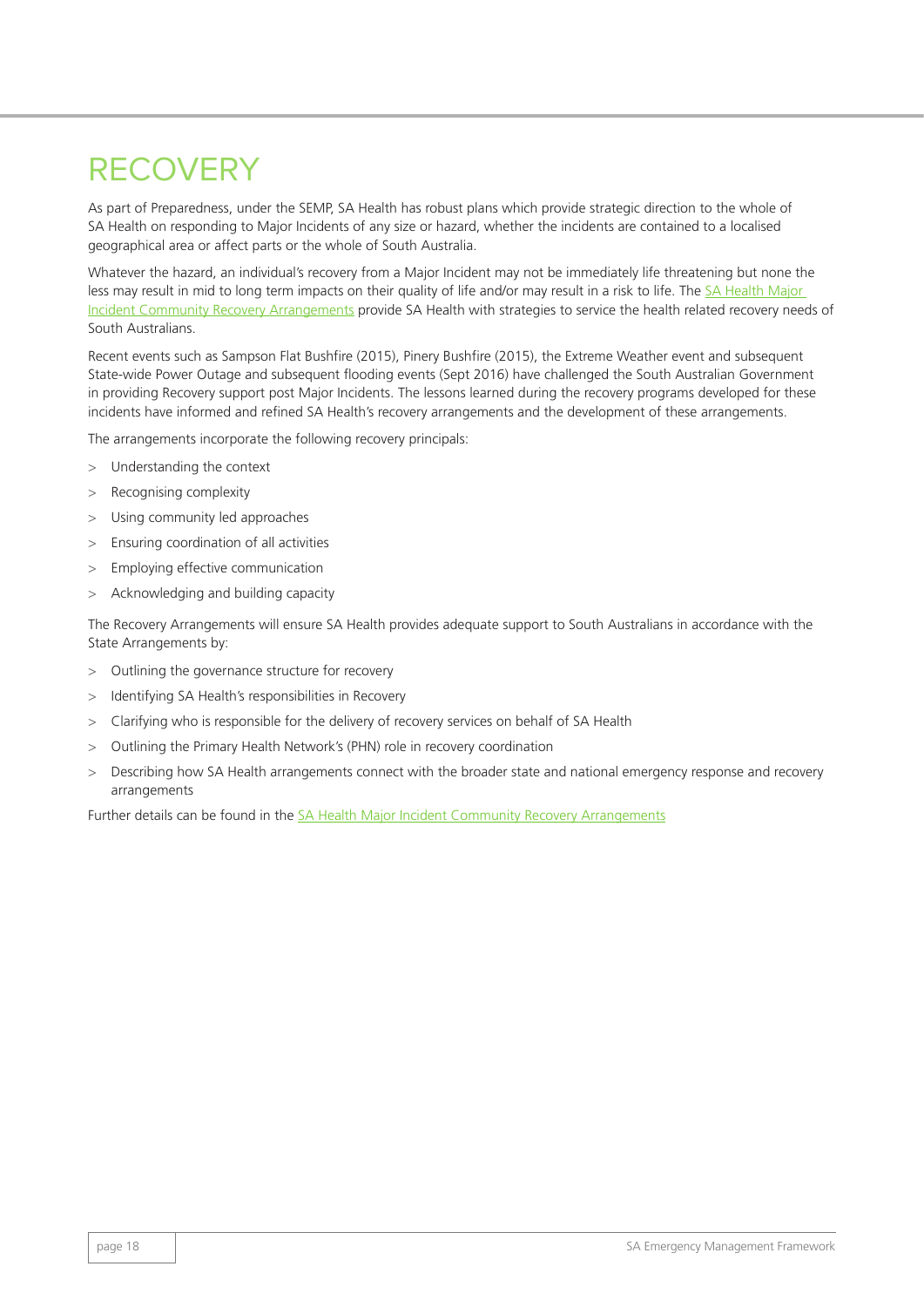# <span id="page-19-0"></span>**RECOVERY**

As part of Preparedness, under the SEMP, SA Health has robust plans which provide strategic direction to the whole of SA Health on responding to Major Incidents of any size or hazard, whether the incidents are contained to a localised geographical area or affect parts or the whole of South Australia.

Whatever the hazard, an individual's recovery from a Major Incident may not be immediately life threatening but none the less may result in mid to long term impacts on their quality of life and/or may result in a risk to life. The SA Health Major [Incident Community Recovery Arrangements](http://www.sahealth.sa.gov.au/wps/wcm/connect/ed68798040c22020a497a73ee9bece4b/SA+Health+Major+Incident+Community+Recovery+Arrangements+V1.1.pdf?MOD=AJPERES&CACHEID=ROOTWORKSPACE-ed68798040c22020a497a73ee9bece4b-maWgTvr) provide SA Health with strategies to service the health related recovery needs of South Australians.

Recent events such as Sampson Flat Bushfire (2015), Pinery Bushfire (2015), the Extreme Weather event and subsequent State-wide Power Outage and subsequent flooding events (Sept 2016) have challenged the South Australian Government in providing Recovery support post Major Incidents. The lessons learned during the recovery programs developed for these incidents have informed and refined SA Health's recovery arrangements and the development of these arrangements.

The arrangements incorporate the following recovery principals:

- > Understanding the context
- > Recognising complexity
- > Using community led approaches
- > Ensuring coordination of all activities
- > Employing effective communication
- > Acknowledging and building capacity

The Recovery Arrangements will ensure SA Health provides adequate support to South Australians in accordance with the State Arrangements by:

- > Outlining the governance structure for recovery
- > Identifying SA Health's responsibilities in Recovery
- > Clarifying who is responsible for the delivery of recovery services on behalf of SA Health
- > Outlining the Primary Health Network's (PHN) role in recovery coordination
- > Describing how SA Health arrangements connect with the broader state and national emergency response and recovery arrangements

Further details can be found in the [SA Health Major Incident Community Recovery Arrangements](http://www.sahealth.sa.gov.au/wps/wcm/connect/ed68798040c22020a497a73ee9bece4b/SA+Health+Major+Incident+Community+Recovery+Arrangements+V1.1.pdf?MOD=AJPERES&CACHEID=ROOTWORKSPACE-ed68798040c22020a497a73ee9bece4b-maWgTvr)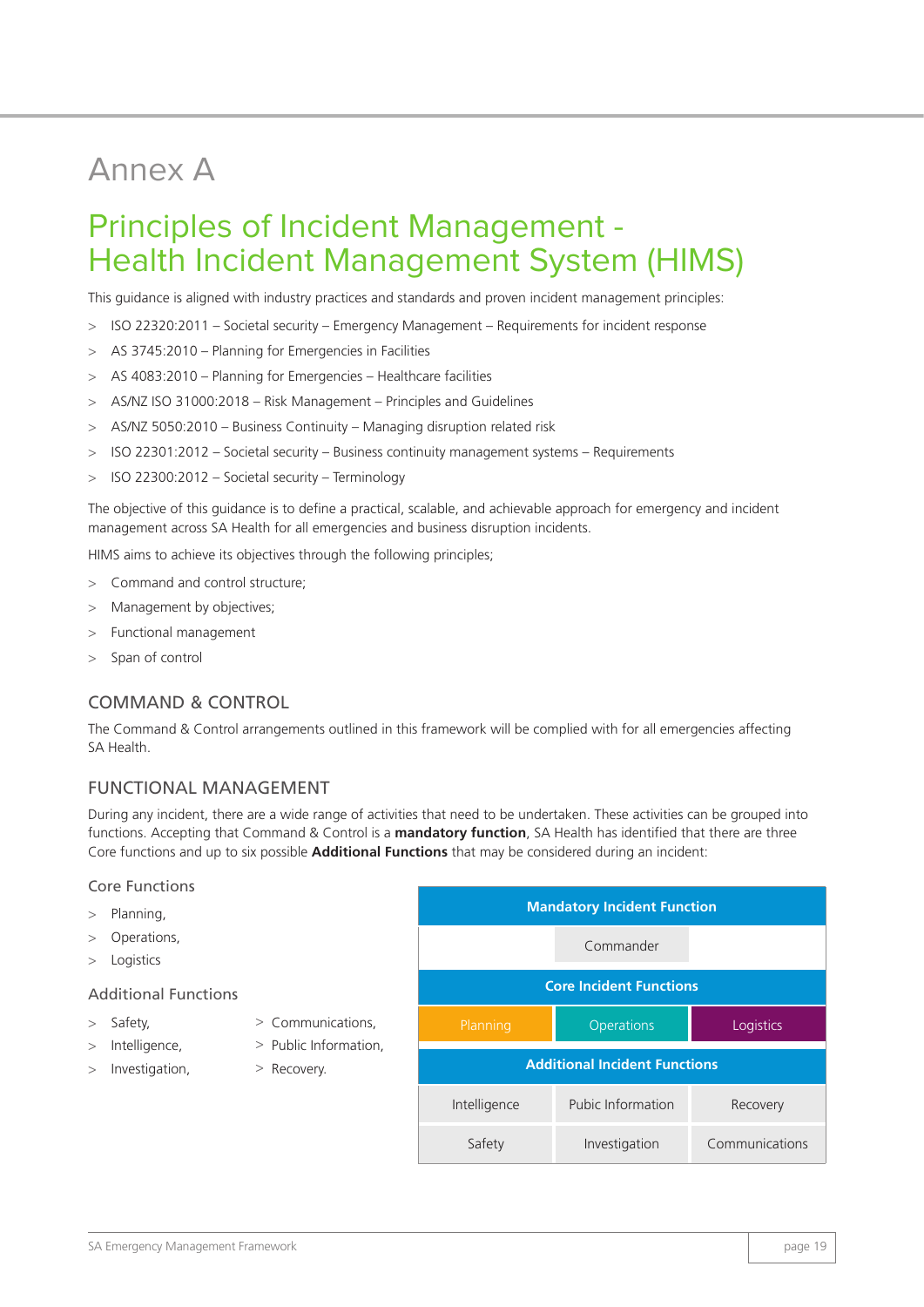# <span id="page-20-0"></span>Annex A

# Principles of Incident Management - Health Incident Management System (HIMS)

This guidance is aligned with industry practices and standards and proven incident management principles:

- > ISO 22320:2011 Societal security Emergency Management Requirements for incident response
- > AS 3745:2010 Planning for Emergencies in Facilities
- > AS 4083:2010 Planning for Emergencies Healthcare facilities
- > AS/NZ ISO 31000:2018 Risk Management Principles and Guidelines
- > AS/NZ 5050:2010 Business Continuity Managing disruption related risk
- > ISO 22301:2012 Societal security Business continuity management systems Requirements
- > ISO 22300:2012 Societal security Terminology

The objective of this guidance is to define a practical, scalable, and achievable approach for emergency and incident management across SA Health for all emergencies and business disruption incidents.

HIMS aims to achieve its objectives through the following principles;

- > Command and control structure;
- Management by objectives;
- > Functional management
- > Span of control

# COMMAND & CONTROL

The Command & Control arrangements outlined in this framework will be complied with for all emergencies affecting SA Health.

## FUNCTIONAL MANAGEMENT

During any incident, there are a wide range of activities that need to be undertaken. These activities can be grouped into functions. Accepting that Command & Control is a **mandatory function**, SA Health has identified that there are three Core functions and up to six possible **Additional Functions** that may be considered during an incident:

#### Core Functions

- > Planning,
- Operations,
- > Logistics

#### Additional Functions

- 
- Safety,  $>$  Communications,
- > Intelligence, > Public Information,
- > Investigation, > Recovery.
	-

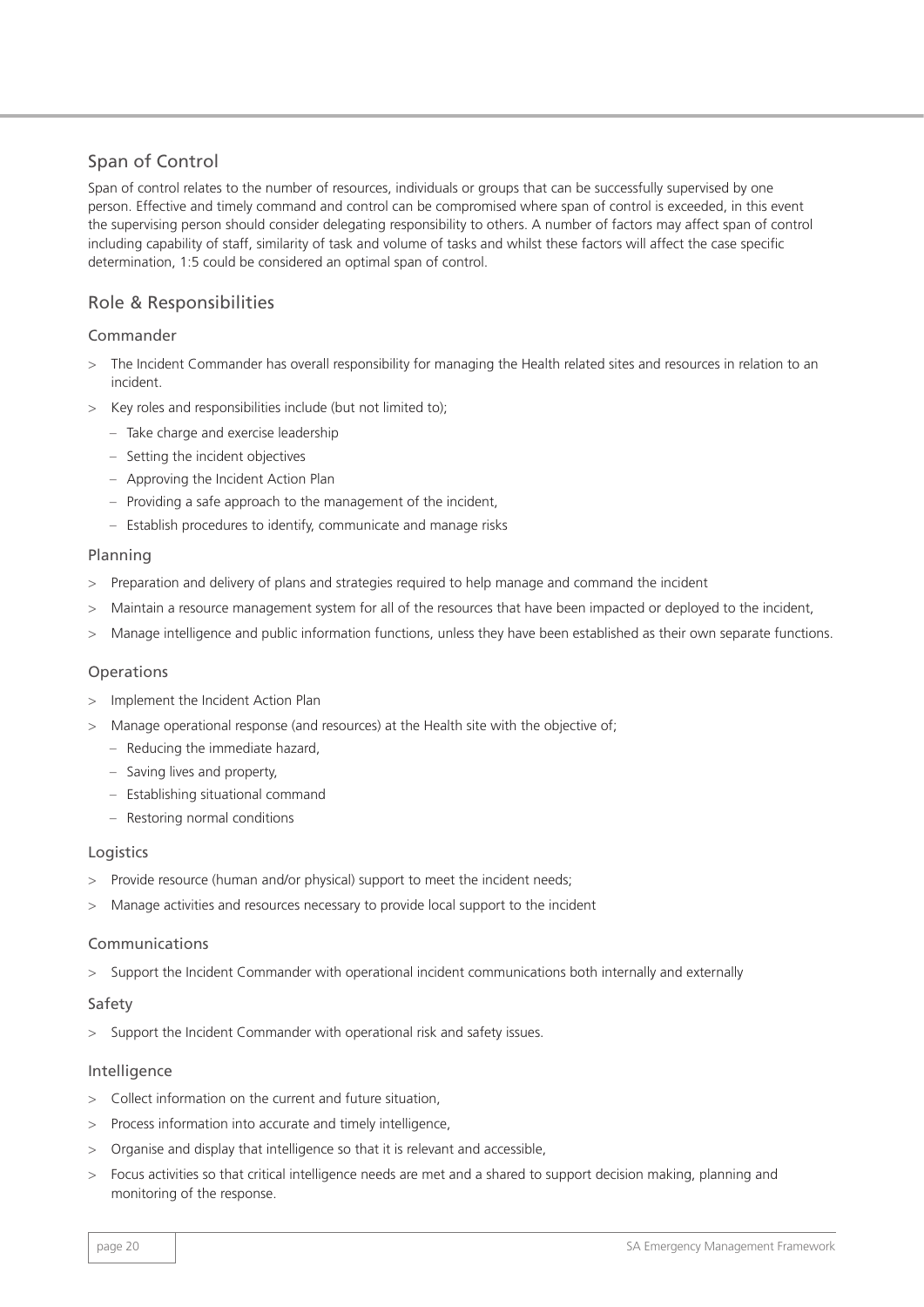# Span of Control

Span of control relates to the number of resources, individuals or groups that can be successfully supervised by one person. Effective and timely command and control can be compromised where span of control is exceeded, in this event the supervising person should consider delegating responsibility to others. A number of factors may affect span of control including capability of staff, similarity of task and volume of tasks and whilst these factors will affect the case specific determination, 1:5 could be considered an optimal span of control.

# Role & Responsibilities

## Commander

- The Incident Commander has overall responsibility for managing the Health related sites and resources in relation to an incident.
- > Key roles and responsibilities include (but not limited to);
	- Take charge and exercise leadership
	- Setting the incident objectives
	- Approving the Incident Action Plan
	- Providing a safe approach to the management of the incident,
	- Establish procedures to identify, communicate and manage risks

# Planning

- > Preparation and delivery of plans and strategies required to help manage and command the incident
- > Maintain a resource management system for all of the resources that have been impacted or deployed to the incident,
- > Manage intelligence and public information functions, unless they have been established as their own separate functions.

## **Operations**

- > Implement the Incident Action Plan
- > Manage operational response (and resources) at the Health site with the objective of;
	- Reducing the immediate hazard,
	- Saving lives and property,
	- Establishing situational command
	- Restoring normal conditions

## Logistics

- > Provide resource (human and/or physical) support to meet the incident needs;
- Manage activities and resources necessary to provide local support to the incident

## Communications

Support the Incident Commander with operational incident communications both internally and externally

## Safety

Support the Incident Commander with operational risk and safety issues.

## Intelligence

- > Collect information on the current and future situation,
- > Process information into accurate and timely intelligence,
- > Organise and display that intelligence so that it is relevant and accessible,
- > Focus activities so that critical intelligence needs are met and a shared to support decision making, planning and monitoring of the response.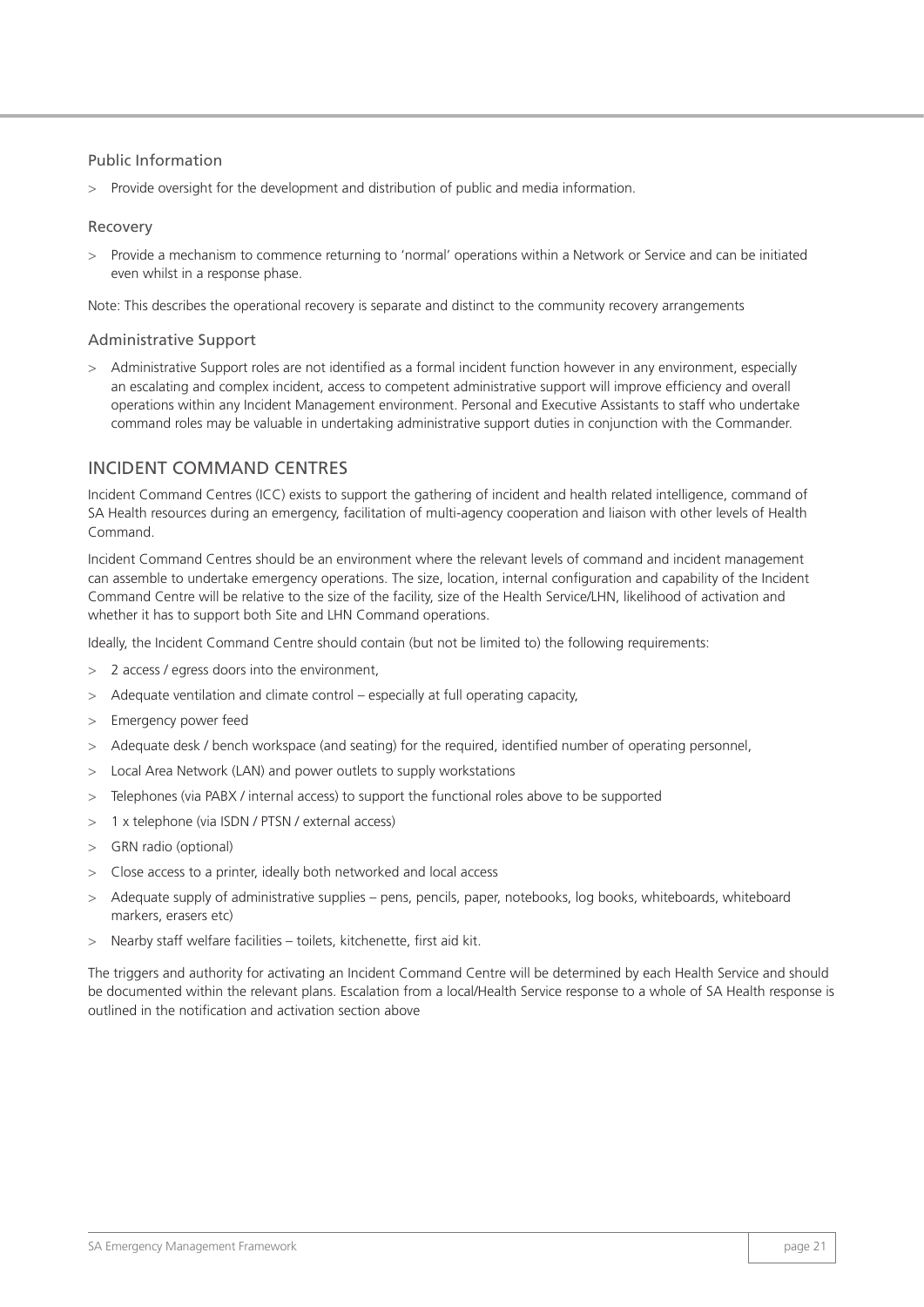#### Public Information

Provide oversight for the development and distribution of public and media information.

#### Recovery

> Provide a mechanism to commence returning to 'normal' operations within a Network or Service and can be initiated even whilst in a response phase.

Note: This describes the operational recovery is separate and distinct to the community recovery arrangements

#### Administrative Support

> Administrative Support roles are not identified as a formal incident function however in any environment, especially an escalating and complex incident, access to competent administrative support will improve efficiency and overall operations within any Incident Management environment. Personal and Executive Assistants to staff who undertake command roles may be valuable in undertaking administrative support duties in conjunction with the Commander.

# INCIDENT COMMAND CENTRES

Incident Command Centres (ICC) exists to support the gathering of incident and health related intelligence, command of SA Health resources during an emergency, facilitation of multi-agency cooperation and liaison with other levels of Health Command.

Incident Command Centres should be an environment where the relevant levels of command and incident management can assemble to undertake emergency operations. The size, location, internal configuration and capability of the Incident Command Centre will be relative to the size of the facility, size of the Health Service/LHN, likelihood of activation and whether it has to support both Site and LHN Command operations.

Ideally, the Incident Command Centre should contain (but not be limited to) the following requirements:

- > 2 access / egress doors into the environment,
- > Adequate ventilation and climate control especially at full operating capacity,
- > Emergency power feed
- > Adequate desk / bench workspace (and seating) for the required, identified number of operating personnel,
- > Local Area Network (LAN) and power outlets to supply workstations
- > Telephones (via PABX / internal access) to support the functional roles above to be supported
- > 1 x telephone (via ISDN / PTSN / external access)
- > GRN radio (optional)
- > Close access to a printer, ideally both networked and local access
- > Adequate supply of administrative supplies pens, pencils, paper, notebooks, log books, whiteboards, whiteboard markers, erasers etc)
- > Nearby staff welfare facilities toilets, kitchenette, first aid kit.

The triggers and authority for activating an Incident Command Centre will be determined by each Health Service and should be documented within the relevant plans. Escalation from a local/Health Service response to a whole of SA Health response is outlined in the notification and activation section above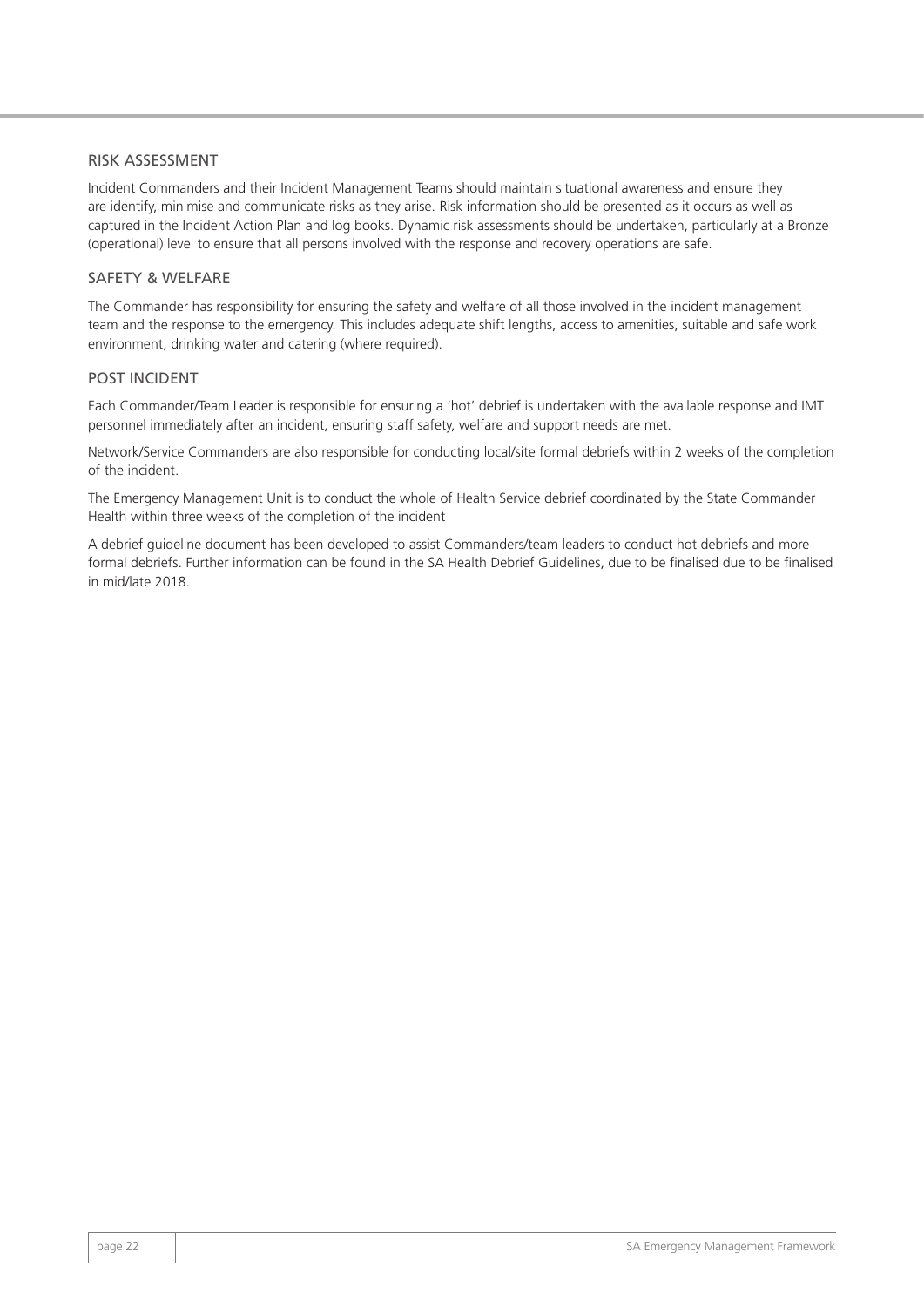#### RISK ASSESSMENT

Incident Commanders and their Incident Management Teams should maintain situational awareness and ensure they are identify, minimise and communicate risks as they arise. Risk information should be presented as it occurs as well as captured in the Incident Action Plan and log books. Dynamic risk assessments should be undertaken, particularly at a Bronze (operational) level to ensure that all persons involved with the response and recovery operations are safe.

## SAFETY & WELFARE

The Commander has responsibility for ensuring the safety and welfare of all those involved in the incident management team and the response to the emergency. This includes adequate shift lengths, access to amenities, suitable and safe work environment, drinking water and catering (where required).

# POST INCIDENT

Each Commander/Team Leader is responsible for ensuring a 'hot' debrief is undertaken with the available response and IMT personnel immediately after an incident, ensuring staff safety, welfare and support needs are met.

Network/Service Commanders are also responsible for conducting local/site formal debriefs within 2 weeks of the completion of the incident.

The Emergency Management Unit is to conduct the whole of Health Service debrief coordinated by the State Commander Health within three weeks of the completion of the incident

A debrief guideline document has been developed to assist Commanders/team leaders to conduct hot debriefs and more formal debriefs. Further information can be found in the SA Health Debrief Guidelines, due to be finalised due to be finalised in mid/late 2018.